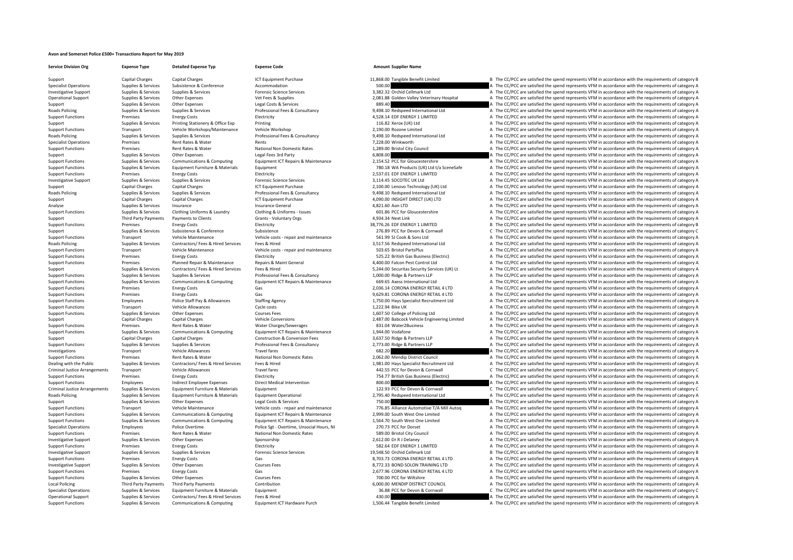## **Avon and Somerset Police £500+ Transactions Report for May 2019**

Support Capital Charges Capital Charges Capital Charges ICT Equipment Purchase 11,868.00 Tangible Benefit Limited B The CC/PCC are satisfied the spend represents VFM in accordance with the requirements of category B

**Service Division Org Expense Type Detailed Expense Typ Expense Code Amount Supplier Name**

Specialist Operations Supplies & Services Subsistence & Conference Accommodation Accommodation 500.00 A The CC/PCC are satisfied the spend represents VFM in accordance with the requirements of category A Investigative Support Supplies & Services Supplies & Services Forensic Science Services Forensic Science Services and The Cellmark Ltd A The CC/PCC are satisfied the spend represents VFM in accordance with the requirements Operational Support Supplies & Services Other Expenses Vet Fees & Supplies Vet Fees & Supplies 2,081.88 Golden Valley Veterinary Hospital A The CC/PCC are satisfied the spend represents VFM in accordance with the requireme Support Support Support Support Support Other Expenses Content Support Content of Costs Agences Costs A The Costs are are satisfied the spend represents VFM in accordance with the requirements of category A The Costs are s Roads Policing Supplies A The CC/PCC are satisfied the spend represents VFM in accordance with the requirements of category A Support Functions Premises Energy Costs Electricity Electricity Electricity and the COVEC are satisfied the spend represents VFM in accordance with the requirements of category A The Support Functions and premises a printi Support Support Support Support Services Printing Stationery & Office Exp Printing Printing Printing Printing Printing Printing Printing Printing Printing Printing Printing Printing Printing Printing Printing Printing Prin Support Functions Transport Vehicle Workshops/Maintenance Vehicle Workshop 2,190.00 Rozone Limited A The CC/PCC are satisfied the spend represents VFM in accordance with the requirements of category A Roads Policing Supplies & Services Supplies & Services Professional Fees & Consultancy 9,498.10 Redspeed International Ltd A The CC/PCC are satisfied the spend represents VFM in accordance with the requirements of category of the number of the Rates Rent Rates Rents and Rents and Rents of category A The CC/PCC are satisfied the spend represents VFM in accordance with the requirements of category A Support Functions Premises Rent Rates & Water Mational Non Domestic Rates 1,289.00 Bristol City Council A The CC/PCC are satisfied the spend represents VFM in accordance with the requirements of category A The CC/PCC are s Support Supplies & Services Other Expenses Legal Fees 3rd Party Legal Fees 3rd Party 6,808.00 A The CC/PCC are satisfied the spend represents VFM in accordance with the requirements of category A Support Category A The CC/ Supplier & Services Communications & Communications of category A Communications and Communications of category A Communications and COLOGING COMMUNICATION COMMUNICATIONS COMMUNICATIONS COMMUNICATIONS A COMMUNICATIONS OF C Support Functions Supplies & Services Equipment Furniture & Materials Equipment Functions Equipment Functions Electricity entity and the Service of The Service A The CC/PCC are satisfied the spend represents VFM in accorda A The CC/PCC are satisfied the spend represents VFM in accordance with the requirements of category A Investigative Support Supplies & Services Supplies & Services Supplies & Services Forensic Science Services Forensic Science Services Support Science Services Forensic Science Services 3,114.45 SOCOTEC UK Ltd A The CC/PCC Support Capital Charges Capital Charges Capital Charges ICT Equipment Purchase 2,100.00 Lenovo Technology (UK) Ltd A The CC/PCC are satisfied the spend represents VFM in accordance with the requirements of category A Decre Roads Policing Supplies & Services Supplies & Services Professional Fees & Consultancy 9,498.10 Redspeed International Ltd A The CC/PCC are satisfied the spend represents VFM in accordance with the requirements of category A Support Capital Charges Capital Charges Capital Charges ICT Equipment Purchase ICT Equipment Purchase 4,090.00 INSIGHT DIRECT (UK) LTD A The CC/PCC are satisfied the spend represents VFM in accordance with the requirements Analyse Supplies Services Insurance Insurance Insurance General Analyse Analyse A The CC/PCC are satisfied the spend represents VFM in accordance with the requirements of category A Supplies & Services Insurance General A Support Functions Supplies & Services Clothing Uniforms & Laundry Clothing & Uniforms - Issues Clothing & Clothing & Uniforms Clothing & Uniforms - Issues 601.86 PCC for Gloucestershire and The CC/PCC are satisfied the spe Support Third Party Payments Payments to Clients (Grants Voluntary Orgs and A The CAPC are satisfied the spend represents VFM in accordance with the requirements of category A Support Third Party Payments to Clients Scheen Support Functions Premises Energy Costs Flectricity Electricity 38,776.26 EDF ENERGY 1 LIMITED B The CC/PCC are satisfied the spend represents VFM in accordance with the requirements of category B Support Support Support Subsistence Subsistence Subsistence Subsistence Subsistence Subsistence Subsistence Subsistence Subsistence CORNEC 276.89 PCC for Devon & Cornwall C The CC/PCC are satisfied the spend represents VFM Transport Vehicle Maintenance Vehicle costs ‐ repair and maintenance 561.99 SJ Cook & Sons Ltd A The CC/PCC are satisfied the spend represents VFM in accordance with the requirements of category A Roads Policing Supplies & Services Contractors/ Fees & Hired Services Fees & Hired 3,517.56 Redspeed International Ltd A The CC/PCC are satisfied the spend represents VFM in accordance with the requirements of category A V Support Functions Transport Vehicle Maintenance Vehicle Costs - repair and maintenance 503.65 Bristol PartsPlus A The CC/PCC are satisfied the spend represents VFM in accordance with the requirements of category A The CC/P Support Functions Premises Functions Energy Costs Functions Electricity 525.22 British Gas Business (Electric) A The CC/PCC are satisfied the spend represents VFM in accordance with the requirements of category A Support Functions Premises Planned Repair & Maintenance Repairs & Maint General A00.00 Falcon Pest Control Ltd A The CC/PCC are satisfied the spend represents VFM in accordance with the requirements of category A Support S Support Supplies & Services Contractors/ Fees & Hired Services Fees & Hired 5,244.00 Securitas Security Services (UK) Lt A The CC/PCC are satisfied the spend represents VFM in accordance with the requirements of category A Support Functions Supplies & Services Supplies & Services Professional Fees & Consultancy 1,000.00 Ridge & Partners LLP A The CC/PCC are satisfied the spend represents VFM in accordance with the requirements of category A Supplies & Services Communications & Computing Equipment ICT Repairs & Maintenance 69.65 Axess International Ltd A The CC/PCC are satisfied the spend represents VFM in accordance with the requirements of category A Support Functions Premises Energy Costs Gas 2,036.14 CORONA ENERGY RETAIL 4 LTD A The CC/PCC are satisfied the spend represents VFM in accordance with the requirements of category A Support Functions Premises Energy Costs Gas Gas Gas And the Support RETAIL 4 LTD A The CC/PCC are satisfied the spend represents VFM in accordance with the requirements of category A Support Functions Employees Police Staff Pay & Allowances Staffing Agency 1,750.00 Hays Specialist Recruitment Ltd A The CC/PCC are satisfied the spend represents VFM in accordance with the requirements of category A Support Functions Transport Vehicle Allowances Cycle costs Cycle costs 1,222.94 Bike UK A The CC/PCC are satisfied the spend represents VFM in accordance with the requirements of category A Support Functions Supplies & Services Other Expenses Courses Fees Courses Fees 1,607.50 College of Policing Ltd A The CC/PCC are satisfied the spend represents VFM in accordance with the requirements of category A The CC/P Support Capital Charges Capital Charges Capital Charges Vehicle Conversions 2,487.00 Babcock Vehicle Engineering Limited A The CC/PCC are satisfied the spend represents VFM in accordance with the requirements of category A Support Functions Support Premises Rent Rates & Water Water Premise Water Premises and the communications and represents a The CC/PCC are satisfied the spend represents VFM in accordance with the requirements of category A Support Functions Supplies & Services Communications & Computing Equipment ICT Repairs & Maintenance 1,944.00 Vodafone 1,944.00 Vodafone A The CC/PCC are satisfied the spend represents VFM in accordance with the requiremen Construction & Conversion Fees 3,637.50 Ridge & Partners LLP A The CC/PCC are satisfied the spend represents VFM in accordance with the requirements of category A Support Functions Supplies & Services Supplies & Services Professional Fees & Consultancy 2,773.00 Ridge & Partners LLP A The CC/PCC are satisfied the spend represents VFM in accordance with the requirements of category A Investigations Transport Vehicle Allowances Travel fares Travel fares 682.20 A The CC/PCC are satisfied the spend represents VFM in accordance with the requirements of category A The Crime in the spend represents VFM in ac Support Functions and the premises Rent Rates & Water National Non Domestic Rates 2,062.00 Mendip District Council A The CC/PCC are satisfied the spend represents VFM in accordance with the requirements of category A Dealing with the Public Supplies & Services Contractors/Fees & Hired Services Fees & Hired The Sectember 1,981.00 Hays Specialist Recruitment Ltd A The CC/PCC are satisfied the spend represents VFM in accordance with the r Travel fares Travel fares and the Criminal Arrangements Criminal C The CC/PCC are satisfied the spend represents VFM in accordance with the requirements of category C<br>Arrangements Criminal Present of Criminal Present Crimi Support Functions Premises Premises Premises Premises Energy Costs Electricity Functions Premises Costs Electricity 754.77 British Gas Business (Electricity A The CC/PCC are satisfied the spend represents VFM in accordance Support Functions Employees Indirect Employee Expenses Direct Medical Intervention and a support and a support of the CC/PCC are satisfied the spend represents VFM in accordance with the requirements of category A Control Criminal lustice Arrangements Sunnlies & Services Foundment Furniture & Materials Foundment Furniture & Materials Foundment 1979 PC for Devon & Cornwall Crime Corner Capacity Criminal Iustice environments of category C Roads Policing Supplies & Services Equipment Furniture & Materials Equipment Operational Equipment Operational<br>
Support Ame CC/PCC are satisfied the spend represents VFM in accordance with the requirements of category A<br>
S Support Support Support Support Support Other Expenses Content Expenses Legal Costs & Services Legal Costs & Services 750.00 The CC/PCC are satisfied the spend represents VFM in accordance with the requirements of category Transport Vehicle Maintenance Vehicle Costs - repair and maintenance 776.85 Alliance Automotive T/A Mill Autoq<br>Support Functions Support Functions Services Communications & Computing Equipment ICT Repairs & Maintenance 2.9 Support Functions Supplies & Services Communications & Computing Equipment ICT Repairs & Maintenance 2,999.00 South West One Limited and The CC/PCC are satisfied the spend represents VFM in accordance with the requirements Sunnort Functions Sunniles & Services Communications & Computing Equipment ICT Repairs & Maintenance 1.564.70 South West One Limited A The CC/PCC are satisfied the spend represents VFM in accordance with the requirements o Specialist Operations Employees Police Overtime Police Overtime Police Sgt - Overtime, Unsocial Hours, NI 270.73 PCC for Dorset A The CC/PCC are satisfied the spend represents VFM in accordance with the requirements of cat Premises Rent Rates & Water National Non Domestic Rates 589.00 Bristol City Council A The CC/PCC are satisfied the spend represents VFM in accordance with the requirements of category A Investigative Support Supplies & Services Other Expenses Sponsorship 2,612.00 Dr R J Delaney 2,612.00 Dr R J Delaney A The CC/PCC are satisfied the spend represents VFM in accordance with the requirements of category A The Support Functions Premises Energy Costs Energy Costs Electricity Electricity Electricity 582.64 EDF ENERGY 1 LIMITED A The CC/PCC are satisfied the spend represents VFM in accordance with the requirements of category A Inv Investigative Support Supplies & Services Supplies & Services Supplies & Services Forensic Science Services Forensic Science Sciences Forensic Sciences Forensic Sciences Forensic Sciences Supplies & Services Forensic Scien Support Functions Premises Energy Costs Gas Gas Gas Base and Courses Energy Costs Gas 8,703.73 CORONA ENERGY RETAIL 4 LTD A The CC/PCC are satisfied the spend represents VFM in accordance with the requirements of category Investigative Support Supplies & Services Other Expenses Courses Fees Courses Courses Courses Courses Courses Courses Courses Courses Courses Courses and a me COPCC are satisfied the spend represents VFM in accordance with Support Functions Premises Energy Costs Gas Gas 2,677.96 CORONA ENERGY RETAIL 4 LTD A The CC/PCC are satisfied the spend represents VFM in accordance with the requirements of category A Support Functions Supplies & Services Other Expenses Courses Fees Courses Fees 700.00 PCC for Willshire A The CC/PCC are satisfied the spend represents VFM in accordance with the requirements of category A Local Policing Third Party Payments Third Party Payments Contribution Contribution Contribution 6,000.00 MENDIP DISTRICT COUNCIL A The CC/PCC are satisfied the spend represents VFM in accordance with the requirements of ca Specialist Operations Supplies & Services Equipment Furniture & Materials Equipment 36.88 PCC for Devon & Cornwall C The CC/PCC are satisfied the spend represents VFM in accordance with the requirements of category C Operational Support Supplies & Services Contractors/ Fees & Hired Services Fees & Hired Services Fees & Hired 430.00 A The CC/PCC are satisfied the spend represents VFM in accordance with the requirements of category A Sup Supplies & Services Communications & Computing Foundation Fundation Communications Computing Fundation Fundation of the CONCES of Tangible Benefit Limited A The CC/PCC are satisfied the spend represents VFM in accordance w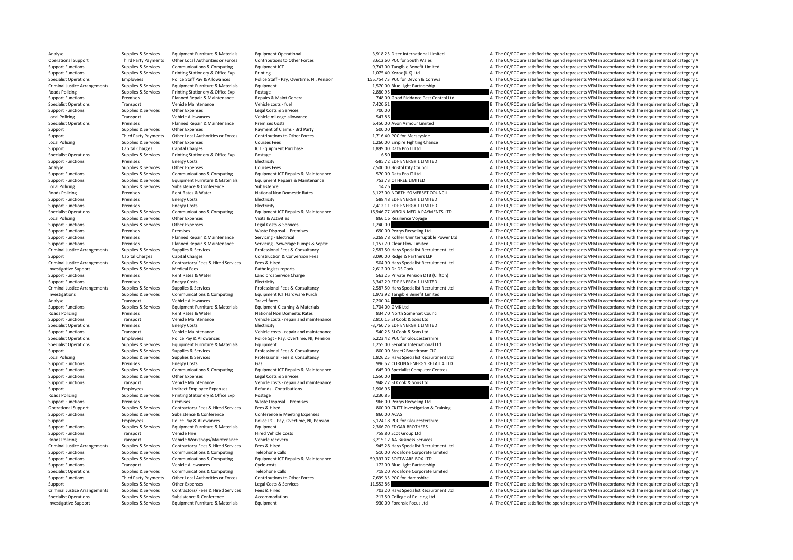Analyse Supplies & Services Equipment Furniture & Materials Equipment Operational and a S.918.25 D.tec International Limited A The CC/PCC are satisfied the spend represents VFM in accordance with the requirements of catego Operational Support Third Party Payments Other Local Authorities or Forces Contributions to Other Forces 3,612.60 PCC for South Wales and The CC/PCC are satisfied the spend represents VFM in accordance with the requirement Support Functions Supplies & Services Communications & Computing Equipment ICT exercity and the Support Interactions of category A The CC/PCC are satisfied the spend represents VFM in accordance with the requirements of ca A The CC/PCC are satisfied the spend represents VFM in accordance with the requirements of category A Specialist Operations Employees Police Staff Pay & Allowances Police Staff - Pay, Overtime, NI, Pension 155,754.73 PCC for Devon & Cornwall C The CC/PCC are satisfied the spend represents VFM in accordance with the require Criminal Justice Arrangements Supplies & Services Equipment Furniture & Materials Equipment | Equipment Criminal J.570.00 Blue Light Partnership Arrangement Arrangement Arrangements of category A Roads Policing Supplies & Services Printing Stationery & Office Exp Postage 2,880.95 2,880.95 A The CC/PCC are satisfied the spend represents VFM in accordance with the requirements of category A Support Functions Premises Planned Repair & Maintenance Repairs & Maint General 748.00 Good Riddance Pest Control Ltd A The CC/PCC are satisfied the spend represents VFM in accordance with the requirements of category A Specialist Operations Transport Vehicle Maintenance Vehicle costs - fuel Vehicle vehicle costs - fuel Vehicle costs - fuel 1,420.61 and the CC/PCC are satisfied the spend represents VFM in accordance with the requirements Support Functions Supplies & Services Other Expenses Legal Costs & Services Legal Costs & Services Legal Costs Costs are a The CC/PCC are satisfied the spend represents VFM in accordance with the requirements of category A Local Policing States Vehicle Allowances Vehicle Allowance Vehicle Allowance Vehicle Allowance Vehicle Mileage allowance Vehicle mileage allowance 547.86 A The CC/PCC are satisfied the spend represents VFM in accordance wi Specialist Operations Premises Planned Repair & Maintenance Premises Costs 6,450.00 Avon Armour Limited A The CC/PCC are satisfied the spend represents VFM in accordance with the requirements of category A The CC/PCC are s Support Support Support Support Support Support Support Support Support Support Support Support Support Support Support Support Support Support Support Support Support Support Support Support Support Third Party Payments O Support Third Party Payments Other Local Authorities or Forces Contributions to Other Forces 1,716.40 PCC for Merseyside A The CC/PCC are satisfied the spend represents VFM in accordance with the requirements of category A Supplies & Services Other Expenses Courses Fees Courses Fees 1,260.00 Empire Fighting Chance A The CC/PCC are satisfied the spend represents VFM in accordance with the requirements of category A Support Capital Charges Capital Charges Capital Charges ICT Equipment Purchase 1,899.00 Data Pro IT Ltd A The CC/PCC are satisfied the spend represents VFM in accordance with the requirements of category A The CC/PCC are s Supplies & Services Printing Stationery & Office Exp Postage Principalist Principalist Operations of Category A The CC/PCC are satisfied the spend represents VFM in accordance with the requirements of category A The Criter Support Functions Premises Factor Energy Costs Electricity – Support Functions Costs Energy Costs Energy Costs Energy Costs Electricity – Support Functions and represents VFM in accordance with the requirements of category Analyse Supplies Services Other Expenses Courses Fees 2,500.00 Bristol City Council A The CC/PCC are satisfied the spend represents VFM in accordance with the requirements of category A Supplies & Services Communications & A The CC/PCC are satisfied the spend represents VFM in accordance with the requirements of category A Support Functions Supplies & Services Fauliament Furniture & Materials Fauliament Repairs & Maintenance 753.73 OTHRFF I MITED A The CC/PCC are satisfied the spend represents VFM in accordance with the requirements of categ Local Policing Supplies Services Subsistence Subsistence Subsistence Subsistence Subsistence Subsistence Subsistence Subsistence Subsistence Subsistence Subsistence Subsistence Subsistence Subsistence Subsistence Subsisten Roads Policing Premises Rent Rates & Water National Non Domestic Rates 3,123.00 NORTH SOMERSET COUNCIL A The CC/PCC are satisfied the spend represents VFM in accordance with the requirements of category A Support Functions Premises Energy Costs Electricity Electricity Support Energy Costs Electricity Electricity Support Energy Costs Electricity Support Functions A The CC/PCC are satisfied the spend represents VFM in accorda Premises Energy Costs Electricity Electricity **Electricity** 2,412.11 EDF ENERGY 1 LIMITED A The CC/PCC are satisfied the spend represents VFM in accordance with the requirements of category A Specialist Operations Supplies & Services Communications & Computing Equipment ICT Repairs & Maintenance 16,946.77 VIRGIN MEDIA PAYMENTS LTD B The CC/PCC are satisfied the spend represents VFM in accordance with the requir Local Policing Supplies Services Other Expenses Visits & Activities Visits Activities and the Services and the Service A The CC/PCC are satisfied the spend represents VFM in accordance with the requirements of category A S Support Functions Supplies Services Other Expenses Legal Costs & Services 1,240.00 A The CC/PCC are satisfied the spend represents VFM in accordance with the requirements of category A Support Functions Premises Premises Premises Premises Waste Disposal – Premises Waste Disposal – Premises Premises Premises Premises Premises Premises Premises Premises Premises Premises Servicing Flectrical S268.78 Kohler Support Functions Premises Planned Repair Are S. Support Functions Planned A S. 208.78 Kohler Uninterruptible Power Ltd A The CC/PCC are satisfied the spend represents VFM in accordance with the requirements of category A Support Functions Premises Planned Repair & Maintenance Servicing ‐ Servicing ‐ Servicing ‐ Servicing ‐ Servicing ‐ Servicing ‐ Servicing ← Servicing 1,157.70 Clear‐Flow Limited A The CC/PCC are satisfied the spend represe Criminal Justice Arrangements Supplies & Services Supplies & Services Professional Fees & Consultancy 2,587.50 Hays Specialist Recruitment Ltd A The CC/PCC are satisfied the spend represents VFM in accordance with the requ Support Capital Charges Capital Charges Construction & Conversion Fees 3,090.00 Ridge & Partners LLP A The CC/PCC are satisfied the spend represents VFM in accordance with the requirements of category A Criminal Justice Arrangements Supplies & Services Contractors/ Fees & Hired Services Fees & Hired Services Fees & Hired Perotocos Fees & Hired Services Fees & Hired Services Services Fees & Hired Services Fees & Hired Serv Investigative Support Supplies & Services Medical Fees Pathologists reports Pathologists reports 2,612.00 Dr DS Cook A The CC/PCC are satisfied the spend represents VFM in accordance with the requirements of category A Support Functions Premises Rent Rates & Water Landlords Service Charge Service Charge 563.25 Private Pension DTB (Clifton) A The CC/PCC are satisfied the spend represents VFM in accordance with the requirements of category Support Functions Premises Energy Costs Electricity Electricity Electricity 3,342.29 EDF ENERGY 1 LIMITED A The CC/PCC are satisfied the spend represents VFM in accordance with the requirements of category A Criminal lustice arrangements Sunnifes & Senvices Sunnifes & Senvices Professional Fees & Consultancy 2 587 50 Havs Specialist Recruitment Itd a The CC/PCC are satisfied the spend represents VEM in accordance with the requ Investigations Supplies & Services Communications & Computing Equipment ICT Hardware Purch 1973.92 Tangible Benefit Limited A The CC/PCC are satisfied the spend represents VFM in accordance with the requirements of categor Analyse Transport Vehicle Allowances Travel fares Travel fares Travel fares Travel fares Travel fares Travel fares Travel fares 7,200.04 A The CC/PCC are satisfied the spend represents VFM in accordance with the requiremen Support Functions Support Functions Associates A. The CC/PCC are satisfied the spend represents VFM in accordance with the requirements of category A Roads Policing Premises Rent Rates & Water National Non Domestic Rates 834.70 North Somerset Council A The CC/PCC are satisfied the spend represents VFM in accordance with the requirements of category A Support Functions Transport Vehicle Maintenance Vehicle costs ‐ repair and maintenance 2,810.15 SJ Cook & Sons Ltd A The CC/PCC are satisfied the spend represents VFM in accordance with the requirements of category A The C Specialist Operations Premises Energy Costs Flectricity **Electricity Flectricity – 2,760.76 EDF ENERGY 1 LIMITED** A The CC/PCC are satisfied the spend represents VFM in accordance with the requirements of category A Support Functions Transport Vehicle Maintenance Vehicle Costs - repair and maintenance 540.25 SJ Cook & Sons Ltd A The CC/PCC are satisfied the spend represents VFM in accordance with the requirements of category A Dice Se Employees Police Pay & Allowances Police Sgt - Pay, Overtime, NI, Pension 6,223.42 PCC for Gloucestershire B. The CC/PCC are satisfied the spend represents VFM in accordance with the requirements of category B Specialist Operations Supplies & Services Equipment Furniture & Materials Equipment 1,255.00 Senator International Ltd A The CC/PCC are satisfied the spend represents VFM in accordance with the requirements of category A Support Supplies & Services Supplies & Services Professional Fees & Consultancy 800.00 Street2Boardroom CIC A The CC/PCC are satisfied the spend represents VFM in accordance with the requirements of category A The Consulta Supplies & Services Supplies & Services Professional Fees & Consultancy 1.826.25 Havs Specialist Berruitment Itd A The CC/PCC are satisfied the spend represents VFM in accordance with the requirements of category A Support Functions Premises Premises Energy Costs Gas Gas Gas Gas 996.52 CORONA ENERGY RETAIL 4 LTD A The CC/PCC are satisfied the spend represents VFM in accordance with the requirements of category A Support Functions Sup A The CC/PCC are satisfied the spend represents VFM in accordance with the requirements of category A Support Functions Supplies & Services Other Expenses Legal Costs & Services Legal Costs Agencies 2,550.00 A The CC/PCC are satisfied the spend represents VFM in accordance with the requirements of category A The CC/PCC are Support Functions Transport Vehicle Maintenance Vehicle costs - repair and maintenance 948.22 SJ Cook & Sons Ltd A The CC/PCC are satisfied the spend represents VFM in accordance with the requirements of category A The Cri Support Employees Support Employee Expenses Refunds Contributions 1,906.96 A The CC/PCC are satisfied the spend represents VFM in accordance with the requirements of category A The CC/PCC are satisfied the spend represents Supplies & Services Printing Stationery & Office Exp Postage 3,230.85 A The CC/PCC are satisfied the spend represents VFM in accordance with the requirements of category A The CC/PCC are satisfied the spend represents VFM Support Functions Premises Premises Premises Premises Waste Disposal – Premises Waste Disposal – Premises Premises 966.00 Perrys Recycling Ltd A The CC/PCC are satisfied the spend represents VFM in accordance with the requ Operational Support Support Supporter Support Support Support Support Support Support Support Support Support Support Support Support Support Support Support Support Support Support Support Support Support Support Support Support Functions Supplies & Services Subsistence & Conference Conference & Meeting Expenses Subsistence Conference Conference & Conference & Conference & Conference & Conference & Conference & Conference & Conference & Co Support Employees Police Pay & Allowances Police PC - Pay, Overtime, NI, Pension 5,124.18 PCC for Gloucestershire B The CC/PCC are satisfied the spend represents VFM in accordance with the requirements of category B Support Functions Supplies & Services Equipment Furniture & Materials Equipment Purinture & Materials Equipment<br>
Support Functions a Support Transport Vehicle Hire Hire Hired Vehicle Costs a The Support Transport of The CC Support Functions Transport Vehicle Hire Hired Vehicle Costs 758.80 Scot Group Ltd A The CC/PCC are satisfied the spend represents VFM in accordance with the requirements of category A Roads Policing Transport Vehicle Workshops/Maintenance Vehicle recovery 3,215.12 AA Business Services A The CC/PCC are satisfied the spend represents VFM in accordance with the requirements of category A Criminal Justice Arrangements Supplies & Services Contractors/ Fees & Hired Services Fees & Hired Hired Services Fees & Hired Mustave of The CONSTANT DASS Happy Septialist Recruitment Ltd A The CC/PCC are satisfied the spe Support Functions Supplies & Services Communications & Computing Telephone Calls Telephone Calls 510.00 Vodafone Comporate Limited A The CC/PCC are satisfied the spend represents VFM in accordance with the requirements of Supplies & Services Communications & Computing Equipment ICT Repairs & Maintenance 59,397.07 SOFTWARE BOX LTD COMENT COMENT COMENT COMENT COMENT COMENT COMENT COMENT COMENT ON THE COMENT COMENT ON THE COMENT COMENT COMENT Transport Vehicle Allowances Cycle costs Cycle costs 172.00 Blue Light Partnership A The CC/PCC are satisfied the spend represents VFM in accordance with the requirements of category A Specialist Operations Supplies & Services Communications & Computing Telephone Calls 718.20 Vodafone Corporate Limited A The CC/PCC are satisfied the spend represents VFM in accordance with the requirements of category A Third Party Payments Other Local Authorities or Forces Contributions to Other Forces 7,699.35 PCC for Hampshire A The CC/PCC are satisfied the spend represents VFM in accordance with the requirements of category A Support Supplies & Services Other Expenses Legal Costs & Services 11,552.86 B The CC/PCC are satisfied the spend represents VFM in accordance with the requirements of category B Criminal Justice Arrangements Supplies & Services Contractors/ Fees & Hired Services Fees & Hired Hired The Secondary Criminal Justice Arrangements of category A The CC/PCC are satisfied the spend represents VFM in accorda Specialist Operations Supplies & Services Subsistence & Conference Accommodation Accommodation 217.50 College of Policing Ltd A The CC/PCC are satisfied the spend represents VFM in accordance with the requirements of categ Investigative Support Support Support Support Support Furniture & Materials Foulyment Purniture & Materials Forensits A The CC/PCC are satisfied the spend represents VFM in accordance with the requirements of category A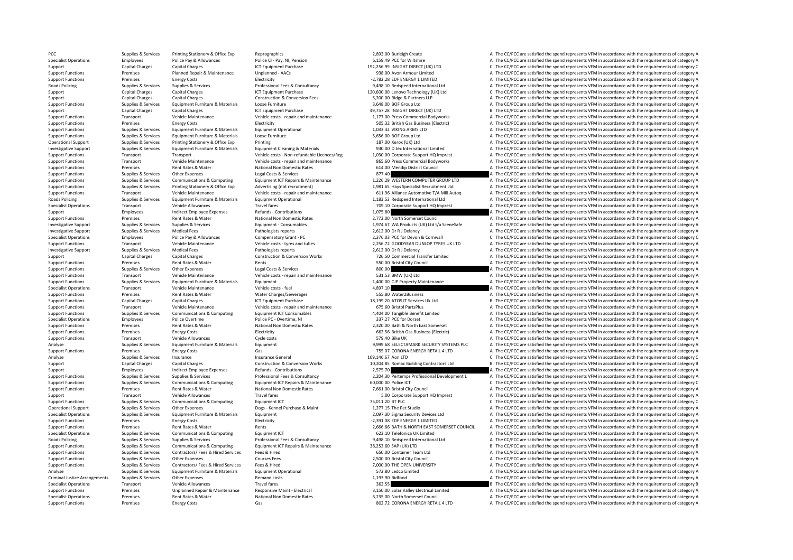Support Functions Premises Functions Energy Costs Gas 802.77 CORONA ENERGY RETAIL 41TD A The CC/PCC are satisfied the spend represents VFM in accordance with the requirements of category A

PCC Supplies & Services Printing Stationery & Office Exp Reprographics Reprographics 2,892.00 Burleigh Create A The CC/PCC are satisfied the spend represents VFM in accordance with the requirements of category A Specialist Operations Employees Police Pay & Allowances Police CI - Pay, NI, Pension 6,159.49 PCC for Wiltshire A The CC/PCC are satisfied the spend represents VFM in accordance with the requirements of category A Capital Charges Capital Charges Capital Charges ICT Equipment Purchase 192,256.99 INSIGHT DIRECT (UK) LTD C The CC/PCC are satisfied the spend represents VFM in accordance with the requirements of category C<br>Support Functi Support Functions Planned A The CC/PCC are satisfied the spend represents VFM in accordance with the requirements of category A The CC/PCC are satisfied the spend represents VFM in accordance with the requirements of categ Support Functions Premises Energy Costs Electricity Electricity **Electricity Electricity Electricity Electricity 2,782.28 EDF ENERGY 1 LIMITED A The CC/PCC are satisfied the spend represents VFM in accordance with** Roads Policing Supplies & Services Supplies & Services Professional Fees & Consultancy 9,498.10 Redspeed International Ltd A The CC/PCC are satisfied the spend represents VFM in accordance with the requirements of category Capital Charges Capital Charges 120,600.00 Lenovo Technology (UK) Ltd C The CC/PCC are satisfied the spend represents VFM in accordance with the requirements of category C Capital Charges Capital Charges Construction & Conversion Fees 5,200.00 Ridge & Partners LLP A The CC/PCC are satisfied the spend represents VFM in accordance with the requirements of category A Support Functions Supplies & Services Equipment Furniture & Materials Loose Furniture and Equipment Purchase and Services Support Turniture and Services Capital Charges Capital Charges Capital Charges Capital Charges Capit Support Capital Charges Capital Charges Capital Charges ICT Equipment Purchase 49,757.28 INSIGHT DIRECT (UK) LTD B The CC/PCC are satisfied the spend represents VFM in accordance with the requirements of category B Support Functions Transport Vehicle Maintenance Vehicle costs - repair and maintenance 1,177.00 Press Commercial Bodyworks A The CC/PCC are satisfied the spend represents VFM in accordance with the requirements of category Support Functions Premises Energy Costs Electricity Electricity Electricity 505.32 British Gas Business (Electric) A The CC/PCC are satisfied the spend represents VFM in accordance with the requirements of category A The C Support Functions Supplies & Services Equipment Furniture & Materials Equipment Operational 1,033.32 VIKING ARMS LTD A The CC/PCC are satisfied the spend represents VFM in accordance with the requirements of category A Sup Support Functions Supplies & Services Equipment Furniture & Materials Loose Furniture Loose Furniture and the Support European Support Functions Services Equipment Furniture and the Services Printing Supplies A Services Pr Printing and Support Support Support Support Support Support Support States Printing 2012 187.00 Xerox (UK) Ltd A The CC/PCC are satisfied the spend represents VFM in accordance with the requirements of category A Investigative Supples Margina Comples Supplies & Services Equipment Furniture & Materials Equipment Cleaning & Materials Materials and the sequine and the COPC are satisfied the spend represents VFM in accordance with the Support Functions Transport Transport Transport Transport Transport Transport Transport Transport Transport Transport Transport A Vehicle costs • Non-refundable Licences/Reg 1,030.00 Corporate Support HQ Imprest A The CC/P Support Transport Vehicle Maintenance Vehicle costs and maintenance 865.60 Press Commercial Bodyworks A The CC/PCC are satisfied the spend represents VFM in accordance with the requirements of category A The CC/PCC are sat Support Functions Premises Premises Rent Rates & Water Mational Non Domestic Rates 614.00 Mendip District Council A The CC/PCC are satisfied the spend represents VFM in accordance with the requirements of category A Suppli ST7.40<br>A The CC/PCC are satisfied the spend represents VFM in accordance with the requirements of category A<br>A The CC/PCC are satisfied the spend represents VFM in accordance with the requirements of category A Supplies & Services Communications & Communications & Communications & Communications & Communications & Communications & Communications & Communications Faultomer Faultomer Faultomer Faultomer Faultomer Faultomer 1.226.29 Support Functions Supplies & Services Printing Stationery & Office Exp Advertising (not recruitment) 1,981.65 Hays Specialist Recruitment Ltd A The CC/PCC are satisfied the spend represents VFM in accordance with the requi Contract the Contract of the Contract of Contract Contract Contract Contract Contract Contract Contract Contract Contract Contract Contract Contract Contract Contract Contract Contract Contract Contract Contract Contract C Roads Policing Supplies Bupplies & Services Equipment Furniture & Materials Equipment Operational expansional<br>
Transport Chick Allowances Travel fares Travel fares Travel fares Travel fares Travel fares Transport Provide A Travel fares Travel fares Travel fares Travel fares and the CORPORT CORPORT A The CC/PCC are satisfied the spend represents VFM in accordance with the requirements of category A The CC/PCC are satisfied the spend represent Support Employees Support Employee Expenses Refunds Contributions and the CONCOS CONTENT A The CC/PCC are satisfied the spend represents VFM in accordance with the requirements of category A The CC/PCC are satisfied the sp Support Functions Premises Rent Rates Water National Non Domestic Rates 2,772.00 North Somerset Council A The CC/PCC are satisfied the spend represents VFM in accordance with the requirements of category A Investigative Su Investigative Sunnort Sunning & Services Sunning & Services Sunning Services Faujument - Consumables 1974 67 NM Products (11K) I to the CC/PCC are satisfied the spend represents VFM in accordance with the requirements of c Investigative Support Supplies & Services Medical Fees Pathologists reports Pathologists reports 2,512.00 Dr R J Delaney A The CC/PCC are satisfied the spend represents VFM in accordance with the requirements of category C C The CC/PCC are satisfied the spend represents VFM in accordance with the requirements of category C Support Functions Transport Vehicle Maintenance Vehicle Costs - tyres and tubes 2,256.72 GOODYEAR DUNLOP TYRES UK LTD A The CC/PCC are satisfied the spend represents VFM in accordance with the requirements of category A Th Investigative Support Supplies & Services Medical Fees Pathologists reports Pathologists reports 2,612.00 Dr R J Delaney A The CC/PCC are satisfied the spend represents VFM in accordance with the requirements of category A Support Capital Charges Capital Charges Construction & Conversion Works 726.50 Commercial Transfer Limited A The CC/PCC are satisfied the spend represents VFM in accordance with the requirements of category A Support Functions Premises Premises Premises Rent Rates & Water Rents Rents Rents Rents Rents Services Rents Services A The CC/PCC are satisfied the spend represents VFM in accordance with the requirements of category A Su A The CC/PCC are satisfied the spend represents VFM in accordance with the requirements of category A Support Functions Transport Vehicle Maintenance Vehicle costs - repair and maintenance S31.53 BMW (UK) Ltd A The CC/PCC are satisfied the spend represents VFM in accordance with the requirements of category A Support Functions Supplies & Services Equipment Furniture & Materials Equipment 1,400.00 CJP Property Maintenance A The CC/PCC are satisfied the spend represents VFM in accordance with the requirements of category A Specialist Operations Transport Vehicle Maintenance Vehicle costs fuel 4,897.10 A The CC/PCC are satisfied the spend represents VFM in accordance with the requirements of category A Support Functions Premises Rent Rates & Water Water Charges/Sewerages Serverages SSS.80 Water2Business A The CC/PCC are satisfied the spend represents VFM in accordance with the requirements of category A Support Functions Capital Charges Capital Charges Capital Charges ICT Equipment Purchase 18,199.20 ATOS IT Services Uk Ltd B The CC/PCC are satisfied the spend represents VFM in accordance with the requirements of category Support Functions Transport Vehicle Maintenance Vehicle costs - repair and maintenance STS.60 Bristol PartsPlus A The CC/PCC are satisfied the spend represents VFM in accordance with the requirements of category A Supplies & Services Communications & Communications & Communications & Communications & Communications & Communications & Communications Faultomer Functioner Functions and a COMPLE are saided the specific are a a The CC/PC Specialist Operations Employees Police Overtime Police PC - Overtime, NI Police PC - Overtime, NI 337.27 PCC for Dorset A The CC/PCC are satisfied the spend represents VFM in accordance with the requirements of category A Support Functions Premises Rent Rates & Water National Non Domestic Rates 2,320.00 Bath & North East Somerset A The CC/PCC are satisfied the spend represents VFM in accordance with the requirements of category A Support Functions Premises Energy Costs Energy Costs Electricity Electricity Electricity and the Support Electricity and the CC/PCC are satisfied the spend represents VFM in accordance with the requirements of category A S Transport Vehicle Allowances Cycle costs Cycle costs 579.40 Bike UK A The CC/PCC are satisfied the spend represents VFM in accordance with the requirements of category A Analyse Supplies Services Equipment Furniture & Materials Equipment Equipment 9,999.68 SELECTAMARK SECURITY SYSTEMS PLC A The CC/PCC are satisfied the spend represents VFM in accordance with the requirements of category A Support Functions Premises Energy Costs Gas Gas Gas 755.07 CORONA ENERGY RETAIL 4 LTD A The CC/PCC are satisfied the spend represents VFM in accordance with the requirements of category A result are conditions of category Analyse Supplies & Services Insurance Insurance General 109,146.67 Aon LTD C The CC/PCC are satisfied the spend represents VFM in accordance with the requirements of category C Support Capital Charges Capital Charges Construction & Conversion Works 10,204.85 Romac Building Contractors Ltd B The CC/PCC are satisfied the spend represents VFM in accordance with the requirements of category B Support Support Employees Material Provides Activity Refunds Fontibutions 2,575.70 A The CC/PCC are satisfied the spend represents VFM in accordance with the requirements of category A Support Employees Services Support Profession Supplies Supplies & Services Supplies & Services Supplies Services Professional Fees & Consultancy 2,204.30 Pertemps Professional Development L The CC/PCC are satisfied the spend represents VFM in accordance with the requi Support Functions Supplies & Services Communications & Computing Equipment ICT Repairs & Maintenance 60,000.00 Police ICT C The CC/PCC are satisfied the spend represents VFM in accordance with the requirements of category Support Functions Premises Rent Rates & Water National Non Domestic Rates 7,661.00 Bristol City Council A The CC/PCC are satisfied the spend represents VFM in accordance with the requirements of category A Support Transport Vehicle Allowances Travel fares Travel fares Travel fares Travel fares S.00 Corporate Support HQ Imprest A The CC/PCC are satisfied the spend represents VFM in accordance with the requirements of category Support Functions Tunctions of category Communications Supplies Communications Computing Computing Computing Computing Computing Computing Computing Computing Computing Computing Computing Computing Computing Computing Com Operational Support Supplies & Services Other Expenses Dogs ‐ Kennel Purchase & Maint 1,277.15 The Pet Studio A The CC/PCC are satisfied the spend represents VFM in accordance with the requirements of category A The CC/PCC Specialist Operations Supplies & Services Equipment Furniture & Materials Equipment Equipment 2,097.30 Sigma Security Devices Ltd A The CC/PCC are satisfied the spend represents VFM in accordance with the requirements of c Support Functions Premises Energy Costs Electricity Electricity **Electricity Electricity Electricity Electricity 2,391.08 EDF ENERGY 1 LIMITED A The CC/PCC are satisfied the spend represents VFM in accordance with** Support Functions Premises Premises Premises Rent Rates & Water Rents Rents Rents Rents Rents Rents Rents Rents Rents Rents Rents Rents Rents Rents Rents Rents Rents Rents Rents Rents 2,566.66 BATH & NORTH EAST SOMERSET CO Specialist Operations Supplies & Services Communications & Computing Equipment ICT 623.10 Telefonica UK Limited A The CC/PCC are satisfied the spend represents VFM in accordance with the requirements of category A Roads Policing Supplies & Services Supplies & Services Professional Fees & Consultancy 9,498.10 Redspeed International Ltd A The CC/PCC are satisfied the spend represents VFM in accordance with the requirements of category Support Functions Supplies & Services Communications & Computing Equipment ICT Repairs & Maintenance 38,253.60 SAP (UK) LTD and the CC/PCC are satisfied the spend represents VFM in accordance with the requirements of categ Support Functions Supplies Services Contractors/ Fees & Hired Services Fees & Hired Services Fees & Hired 650.00 Container Team Ltd A The CC/PCC are satisfied the spend represents VFM in accordance with the requirements of Support Functions Supplies & Services Other Expenses Courses Fees Courses Fees 2,500.00 Bristol City Council City Council A The CC/PCC are satisfied the spend represents VFM in accordance with the requirements of category Support Functions Supplies & Services Contractors/ Fees & Hired Services Fees & Hired The See A Hired 7,000.00 THE OPEN UNIVERSITY A The CC/PCC are satisfied the spend represents VFM in accordance with the requirements of Analyse Supplies & Services Equipment Furniture & Materials Equipment Operational 572.80 Ledco Limited 572.80 Ledco Limited A The CC/PCC are satisfied the spend represents VFM in accordance with the requirements of categor Criminal Justice Arrangements Supplies & Services Other Expenses Remand costs Remand costs Remand costs 1,193.90 Bidfood A The CC/PCC are satisfied the spend represents VFM in accordance with the requirements of category A Specialist Operations Transport Vehicle Allowances Travel fares Travel fares Travel fares Travel fares Travel fares and the Seconda and the Seconda and the Seconda and the spend represents VFM in accordance with the requir Support Functions Premises Unplanned Repair & Maintenance Responsive Maint - Electrical States and the Support Flectrical Limited A The CC/PCC are satisfied the spend represents VFM in accordance with the requirements of c Specialist Operations Premises Premises Rent Rates & Water National Non Domestic Rates 6,235.00 North Somerset Council A The CC/PCC are satisfied the spend represents VFM in accordance with the requirements of category A S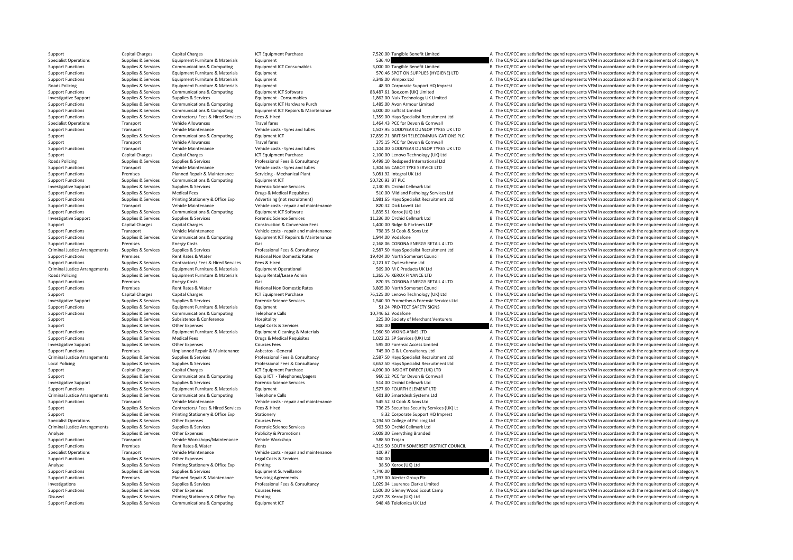Support Capital Charges Capital Charges Capital Charges ICT Equipment Purchase 1CT Equipment Purchase 7,520.00 Tangible Benefit Limited A The CC/PCC are satisfied the spend represents VFM in accordance with the requirement Specialist Operations Supplies & Services Equipment Furniture & Materials Equipment Supplies Equipment Furniture & Materials Equipment Supplies and Spend and Satisfied the Spend represents VFM in accordance with the requir Supplies & Services Communications & Computing Equipment ICT Consumables and a consumable send to a computing the COPCC are satisfied the spend represents VFM in accordance with the requirements of category B<br>Support Funct A The CC/PCC are satisfied the spend represents VFM in accordance with the requirements of category A Support Functions Supplies & Services Equipment Furniture & Materials Equipment Comment and A The CC/PCC are satisfied the spend represents VFM in accordance with the requirements of category A Roads Policing Supplies & Services Equipment Furniture & Materials Equipment A The CC/PCC are satisfied the spend represents VFM in accordance with the requirements of category A The CC/PCC are satisfied the spend represen Support Functions Supplies & Services Communications & Computing Equipment ICT Software 88,487.61 Box.com (UK) Limited C The CC/PCC are satisfied the spend represents VFM in accordance with the requirements of category C Investigative Support Supplies & Services Supplies & Services Equipment - Consumables Equipment - Consumables -1,862.00 Nuix Technology UK Limited A The CC/PCC are satisfied the spend represents VFM in accordance with the Support Functions Supplies & Services Communications & Computing Equipment ICT Hardware Purch 1,485.00 Avon Armour Limited A The CC/PCC are satisfied the spend represents VFM in accordance with the requirements of category Supplier Services Communications Computing Equipment ICT Repairs & Maintenance 6,000.00 Softcat Limited A The CC/PCC are satisfied the spend represents VFM in accordance with the requirements of category A Suppliers Servic Support Functions Supplies & Services Contractors/Fees & Hired Services Fees & Hired 1.359.00 Hays Specialist Recruitment Ltd A The CC/PCC are satisfied the spend represents VFM in accordance with the requirements of categ Specialist Operations Transport Vehicle Allowances Travel fares Travel fares and tubes 1,464.43 PCC for Devon & Cornwall C The CC/PCC are satisfied the spend represents VFM in accordance with the requirements of category C Support Transport Vehicle Maintenance Vehicle costs and tubes 1,507.95 GOODYEAR DUNLOP TYPES UK LTD A The CC/PCC are satisfied the spend represents VEM in accordance with the requirements of category A Support Support Supplies & Services Communications & Computing Equipment ICT Support CT 17,839.71 BRITISH TELECOMMUNICATIONS PLC B The CC/PCC are satisfied the spend represents VFM in accordance with the requirements of ca Support Transport Vehicle Allowances Travel fares 275.15 PCC for Devon & Cornwall C The CC/PCC are satisfied the spend represents VFM in accordance with the requirements of category C Support Functions Transport Vehicle Maintenance Vehicle Costs - tyres and tubes 1,104.00 GOODYEAR DUNLOP TYRES UK LTD A The CC/PCC are satisfied the spend represents VFM in accordance with the requirements of category A Su Support Capital Charges Capital Charges Capital Charges ICT Equipment Purchase 2,100.00 Lenovo Technology (UK) Ltd A The CC/PCC are satisfied the spend represents VFM in accordance with the requirements of category A The C Roads Roads Supplies Supplies Supplies Supplies Supplies Consultancy 19, 2008 10 Redspeed International Ltd A The CC/PCC are satisfied the spend represents VFM in accordance with the requirements of category A The CC/PC ar Support Functions Transport Vehicle Maintenance Vehicle costs - tyres and tubes 1,304.56 CABOT TYRE SERVICE LTD A The CC/PCC are satisfied the spend represents VFM in accordance with the requirements of category A Support A The CC/PCC are satisfied the spend represents VFM in accordance with the requirements of category A Support Functions Supportes Communications & Computing Faultoment ICT 50,720.93 BT PLC 50,720.93 BT PLC The CC/PCC are satisfied the spend represents VFM in accordance with the requirements of category C Investigative Support Supplies & Services Supplies & Services Forensic Science Services Forensic Science Services Forensic Science Services 2,130.85 Orchid Cellmark Ltd A The CC/PCC are satisfied the spend represents VFM i Support Functions Support of category A Drugs Andreal Fees Drugs & Services Drugs & Services Medical Fees Drugs A The COMMidland Pathology Services Ltd A The CC/PCC are satisfied the spend represents VFM in accordance with Supplies & Services Printing Stationery & Office Exp Advertising (not recruitment) 1,981.65 Hays Specialist Recruitment Ltd A The CC/PCC are satisfied the spend represents VFM in accordance with the requirements of categor Transport Vehicle Maintenance Vehicle costs – repair and maintenance and a S20.32 Dick Lovett Ltd A The CC/PCC are satisfied the spend represents VFM in accordance with the requirements of category A Secondal Category A Th Support Functions Supplies & Services Communications & Computing Equipment ICT Software 1,835.51 Xerox (UK) Ltd 1,835.51 Xerox (UK) Ltd A The CC/PCC are satisfied the spend represents VFM in accordance with the requirement Investigative Support Supplies & Services Supplies & Services Forensic Science Services Forensic Science Services and Developments Ltd B The CC/PCC are satisfied the spend represents VFM in accordance with the requirements Capital Charges Capital Charges Construction & Conversion Fees 1,400.00 Ridge & Partners LLP A The CC/PCC are satisfied the spend represents VFM in accordance with the requirements of category A Support Functions Transport Vehicle Maintenance Vehicle Costs - repair and maintenance 798.35 SJ Cook & Sons Ltd A The CC/PCC are satisfied the spend represents VFM in accordance with the requirements of category A The CC/ Support Functions Support Functions A Supplies A The CC/PCC are satisfied the spend represents VFM in accordance with the requirements of category A The CC/PCC are satisfied the spend represents VFM in accordance with the Support Functions Premises Energy Costs Gas Services Gas Costs Gas 2,168.06 CORONA ENERGY RETAIL 4 LTD A The CC/PCC are satisfied the spend represents VFM in accordance with the requirements of category A The CC/PCC are sa Criminal Justice Arrangements Supplies & Services Supplies & Services Professional Fees & Consultancy 2,587.50 Hays Specialist Recruitment Ltd A The CC/PCC are satisfied the spend represents VFM in accordance with the requ Support Functions Premises Rent Rates & Water National Non Domestic Rates 19,404.00 North Somerset Council and B The CC/PCC are satisfied the spend represents VFM in accordance with the requirements of category B Supplies Support Functions Supplies & Services Contractors/ Fees & Hired Services Fees & Hired Services Fees & Hired 2,121.67 Cyclescheme Ltd A The CC/PCC are satisfied the spend represents VFM in accordance with the requirements o 509.00 M C Products UK Ltd<br>A The CC/PCC are satisfied the spend represents VFM in accordance with the requirements of category A<br>A The CC/PCC are satisfied the spend represents VFM in accordance with the requirements of ca Roads Policing Supplies & Services Equipment Furniture & Materials Equip Rental/Lease Admin 1,265.76 XEROX FINANCE LTD A The CC/PCC are satisfied the spend represents VFM in accordance with the requirements of category A Support Functions Premises Energy Costs Gas Gas Support Functions and A The CC/PCC are satisfied the spend represents VFM in accordance with the requirements of category A Support Functions Premises Rent Rates & Water National Non Domestic Rates 3,805.00 North Somerset Council A The CC/PCC are satisfied the spend represents VFM in accordance with the requirements of category A Capital Charges Capital Charges ICT Equipment Purchase 1CT Equipment Purchase 76,125.00 Lenovo Technology (UK) Ltd C The CC/PCC are satisfied the spend represents VFM in accordance with the requirements of category C Investigative Supples Manuform of the requirements of category A Supplies & Services Supplies & Services Supplies & Services Services Forensic Science Services and the Services of the Supplies Manuform of the CONN of the C Support Functions Supplies & Services Equipment Furniture & Materials Equipment Equipment Equipment Equipment Support Functions A Computing Support Functions and the CC/PCC are satisfied the spend represents VFM in accorda Support Functions Supplies & Services Communications & Computing Telephone Calls and Telephone Calls 10,746.62 Vodafone B The CC/PCC are satisfied the spend represents VFM in accordance with the requirements of category B Support Supplies & Services Subsistence & Conference Hospitality Hospitality 225.00 Society of Merchant Venturers A The CC/PCC are satisfied the spend represents VFM in accordance with the requirements of category A The CC Support Support Support Other Expenses Legal Costs Beautifus Control and Costs and Costs and Costs and Costs and Costs and Costs and Costs and Costs and Costs and Costs and Costs and Costs and Costs and Costs and Costs and Supplies & Services Equipment Furniture & Materials Equipment Cleaning & Materials and the materials and the materials of the Supplies are studied the spend represents VFM in accordance with the requirements of category A Support Functions Supplies & Services Medical Fees Drugs & Medical Requisites Drugs & Medical Requisites 1,022.22 SP Services (UK) Ltd A The CC/PCC are satisfied the spend represents VFM in accordance with the requirements Investigative Support Supplies & Services Other Expenses Courses Courses Fees Courses Fees 595.00 Forensic Access Limited A The CC/PCC are satisfied the spend represents VFM in accordance with the requirements of category Support Functions Premises Premises Unplanned Repair & Maintenance Asbestos ‐ General 745.00 G & L Consultancy Ltd A The CC/PCC are satisfied the spend represents VFM in accordance with the requirements of category A Decre Criminal Justice Arrangements Supplies & Services Supplies & Services Musics of Professional Fees & Consultancy<br>
Professional Fees & Consultancy and the Same and Services of Professional Fees & Consultancy and Services Ser Supplies & Services Supplies & Services Professional Fees & Consultancy 3,652.50 Hays Specialist Recruitment Ltd A The CC/PCC are satisfied the spend represents VFM in accordance with the requirements of category A Support Capital Charges Capital Charges ICT Equipment Purchase 10000 A The CC/PCC are satisfied the spend represents VFM in accordance with the requirements of category A Support Support Supplies & Services Communications & Computing Equip ICT - Telephones/pagers 960.12 PCC for Devon & Cornwall C The CC/PCC are satisfied the spend represents VFM in accordance with the requirements of catego Investigative Support Supplies & Services Supplies & Services Forensic Science Services Forensic Science Services Forensic Science Services Supplies & Services Forensing Services Forensic Science Services Forensic Science Support Functions Supplies Services Equipment Furniture & Materials Equipment Equipment Equipment Equipment 1,577.60 FOURTH ELEMENT LTD A The CC/PCC are satisfied the spend represents VFM in accordance with the requirement Criminal Justice Arrangements of category and The Criminal Telephone Calls Criminal Telephone Calls Telephone Calls 601.80 Smartdesk Systems Ltd A The CC/PCC are satisfied the spend represents VFM in accordance with the re Support Functions Transport Vehicle Maintenance Vehicle costs - repair and maintenance 545.52 SJ Cook & Sons Ltd A The CC/PCC are satisfied the spend represents VFM in accordance with the requirements of category A Support Support Supplies & Services Contractors/ Fees & Hired Services Fees & Hired 736.25 Securitas Security Services (UK) Lt A The CC/PCC are satisfied the spend represents VFM in accordance with the requirements of category A Support Support Support Support Support Support Support Support Support Support Support HQ Imprest A The CC/PCC are satisfied the spend represents VFM in accordance with the requirements of category A Corporate Corporate A Specialist Operations Supplies & Services Other Expenses Courses Fees Courses Fees 4,194.50 College of Policing Ltd A The CC/PCC are satisfied the spend represents VFM in accordance with the requirements of category A Crim Criminal Justice Arrangements Supplies & Services Supplies & Services Forensic Science Services Forensic Science Services Forensic Science Services Supplies are and the expendies of the spend represents VFM in accordance w Analyse Supplies & Services Other Expenses Publicity & Promotions S.008.00 Everything Branded A The CC/PCC are satisfied the spend represents VFM in accordance with the requirements of category A Support Functions Transport Vehicle Workshops/Maintenance Vehicle Workshop 588.50 Trojan 588.50 Trojan a The CC/PCC are satisfied the spend represents VFM in accordance with the requirements of category A The CC/PCC are sa Support Functions Premises Rent Rates & Water Rents Rents Rents Rents Rents Rents A 219.50 SOUTH SOMERSET DISTRICT COUNCIL A The CC/PCC are satisfied the spend represents VFM in accordance with the requirements of category Specialist Operations **Specialist Operations Costs Controlled Maintenance** Vehicle costs **Controlled Costs and maintenance** 100.97 B The CC/PCC are satisfied the spend represents VFM in accordance with the requirements of Support Functions Supplies & Services Other Expenses Legal Costs & Services Legal Costs & Services Category A The CC/PCC are satisfied the spend represents VFM in accordance with the requirements of category A The CC/PCC a Analyse Supplies & Services Printing Stationery & Office Exp Printing Stationery A The CONSTANTING STATION CONSTANTING A The CC/PCC are satisfied the spend represents VFM in accordance with the requirements of category A Support Functions Supplies & Services Supplies & Services Equipment Surveillance Equipment Surveillance Equipment Surveillance and A The CC/PCC are satisfied the spend represents VFM in accordance with the requirements of Support Functions Premises Planned Repair & Maintenance Servicing Agreements 1,297.00 Alerter Group Plc A The CC/PCC are satisfied the spend represents VFM in accordance with the requirements of category A Investigations Supplies & Services Supplies & Services Professional Fees & Consultancy 1,029.04 Laurence Clarke Limited A The CC/PCC are satisfied the spend represents VFM in accordance with the requirements of category A Support Functions Supplies & Services Other Expenses Courses Fees Courses Fees 1,500.00 Glenny Wood Scout Camp A The CC/PCC are satisfied the spend represents VFM in accordance with the requirements of category A Disused Supplies Services Printing Stationery & Office Exp Printing Printing Printing 2,627.78 Xerox (UK) Ltd A The CC/PCC are satisfied the spend represents VFM in accordance with the requirements of category A Supplies & Support Functions Support Communications & Computing Faultoment ICT 948.48 Telefonica UK Itd A The CC/PCC are satisfied the spend represents VFM in accordance with the requirements of category A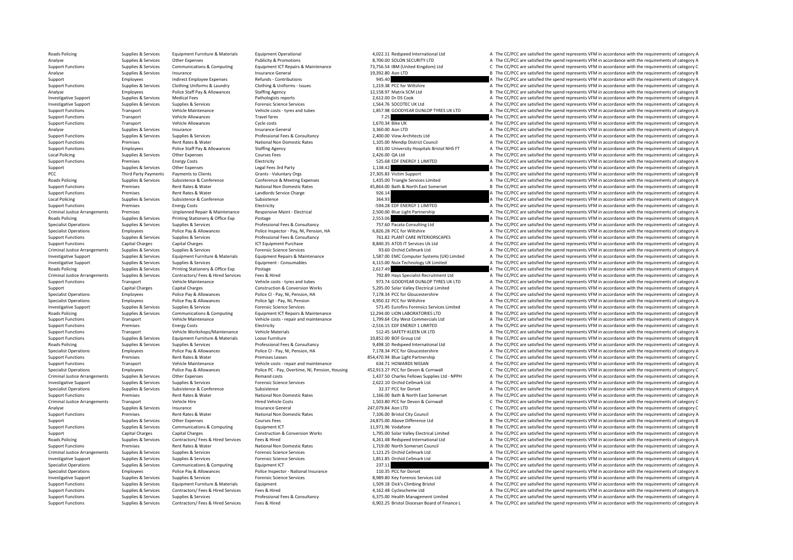Supplies & Services Equipment Furniture & Materials Equipment Operational and the company and the company and the CC/PCC are satisfied the spend represents VFM in accordance with the requirements of category A<br>Analyse Anal Analyse Supplies Services Other Expenses Publicity & Promotions Publicity & Promotions 8,700.00 SOLON SECURITY LTD A The CC/PCC are satisfied the spend represents VFM in accordance with the requirements of category A Supplies & Services Communications & Computing Equipment ICT Repairs & Maintenance 73,756.54 IBM (United Kingdom) Ltd C The CC/PCC are satisfied the spend represents VFM in accordance with the requirements of category C an Analyse Supplies & Services Insurance Insurance Supplies Services Insurance General Insurance General Insurance General 19,392.80 Aon LTD B The CC/PCC are satisfied the spend represents VFM in accordance with the requireme Support Employees Indirect Employee Expenses Refunds - Contributions 945.40 945.40 A The CC/PCC are satisfied the spend represents VFM in accordance with the requirements of category A Support Functions Supplies & Services Clothing Uniforms & Laundry Clothing & Uniforms - Issues 1,219.38 PCC for Wiltshire A The CC/PCC are satisfied the spend represents VFM in accordance with the requirements of category Analyse Employees Police Staff Pay & Allowances Staffing Agency 12,158.97 Matrix SCM Ltd B The CC/PCC are satisfied the spend represents VFM in accordance with the requirements of category B Investigative Support Supplies & Services Medical Fees Pathologists reports Pathologists reports 2,612.00 Dr DS Cook A The CC/PCC are satisfied the spend represents VFM in accordance with the requirements of category A Investigative Support Supplies & Services Supplies & Services Forensic Science Services Forensic Science Services Forensic Science Services 1,564.76 SOCOTEC UK Ltd A The CC/PCC are satisfied the spend represents VFM in acc Transport Vehicle Maintenance Vehicle costs ‐ tyres and tubes 1,857.98 GOODYEAR DUNLOP TYRES UK LTD A The CC/PCC are satisfied the spend represents VFM in accordance with the requirements of category A Support Functions Transport Vehicle Allowances Travel fares Travel fares Travel fares Transport Vehicle Allowances Travel fares Travel fares and the CC/PC are satisfied the spend represents VFM in accordance with the requi Support Functions Transport Vehicle Allowances Cycle costs Cycle costs 1,670.34 Bike UK A The CC/PCC are satisfied the spend represents VFM in accordance with the requirements of category A The Crime of the spend represent Analyse Supplies Services Insurance General 3,360.00 Aon LTD A The CC/PCC are satisfied the spend represents VEM in accordance with the requirements of category A Support Functions Supplies & Services Supplies & Services Supplies & Services Professional Fees & Consultancy A The CONSULT A The CC/PCC are satisfied the spend represents VFM in accordance with the requirements of categor Examples Rent Rates & Water Mational Non Domestic Rates 1,105.00 Mendip District Council A The CC/PCC are satisfied the spend represents VFM in accordance with the requirements of category A The Criterial A The Criterial A Support Functions Employees Police Staff Pay & Allowances Staffing Agency 831.00 University Hospitals Bristol NHS FT A The CC/PCC are satisfied the spend represents VFM in accordance with the requirements of category A Local Policing Supplies Services Other Expenses Courses Fees Courses Fees 2,426.00 QA Ltd A The CC/PCC are satisfied the spend represents VFM in accordance with the requirements of category A Supplies & Services Feering St Support Functions Premises Energy Costs Electricity 525.68 EDF ENERGY 1 LIMITED A The CC/PCC are satisfied the spend represents VFM in accordance with the requirements of category A Support Supplies & Services Other Expenses Legal Fees 3rd Party Legal Fees 3rd Party 1,138.42 A The CC/PCC are satisfied the spend represents VFM in accordance with the requirements of category B<br>PCC Third Party Party Part B The CC/PCC are satisfied the spend represents VFM in accordance with the requirements of category B Roads Policing Supplies & Services Subsistence & Conference Conference Conference Conference Conference Conference Reating Supplies and the CONFOC are satisfied the spend represents VFM in accordance with the requirements Support Functions Premises Rent Rates & Water National Non Domestic Rates 45,864.00 Bath & North East Somerset B The CC/PCC are satisfied the spend represents VFM in accordance with the requirements of category B and Bath Support Functions Premises Rent Rates Rent Rates Rent Landlords Service Charge 926.14 A The CC/PCC are satisfied the spend represents VFM in accordance with the requirements of category A The CC/PCC are satisfied the spend Local Policing Supplies Services Subsistence Subsistence Subsistence Subsistence Subsistence Subsistence Subsistence Subsistence 364.93 A The CC/PCC are satisfied the spend represents VFM in accordance with the requirement Premises Energy Costs Electricity Electricity Electricity Electricity Electricity Electricity Functions Premises and The CC/PCC are satisfied the spend represents VFM in accordance with the requirements of category A The Criminal Justice Arrangements Premises Premises Unplanned Repair & Maintenance Responsive Maint - Electrical 2,500.00 Blue Light Partnership A The CC/PCC are satisfied the spend represents VFM in accordance with the requir Roads Policing Supplies Services Printing Stationery & Office Exp Postage Principal Professional Fees & Consultancy 2,553.06 A The CC/PCC are satisfied the spend represents VFM in accordance with the requirements of catego Specialist Operations Supplies Services Supplies & Services Professional Fees & Consultancy 757.60 Pacata Consulting Ltd A The CC/PCC are satisfied the spend represents VFM in accordance with the requirements of category A Specialist Operations Employees Police Pay & Allowances Police Inspector - Pay, NI, Pension, HA 6,826.28 PCC for Wiltshire A The CC/PCC are satisfied the spend represents VFM in accordance with the requirements of category A The CC/PCC are satisfied the spend represents VFM in accordance with the requirements of category A Support Functions Capital Charges Capital Charges Capital Charges ICT Equipment Purchase 1CT Equipment Purchase 8,840.35 ATOS IT Services Uk Ltd A The CC/PCC are satisfied the spend represents VFM in accordance with the re Criminal Justice Arrangements Supplies & Services Supplies & Services Forensic Science Services Forensic Science Services Supplies & Services Forensic Science Services Services Services Forensity of the Crimara Property A Investigative Sunnort Sunnings & Sepures Foundance Sunnings Materials Functure Business Providence Sunner Bearings Materials Function and the CONCO Computer Systems (IIK) Limited The CC/PCC are satisfied the spend represen Investigative Support Supplies & Services Supplies & Services Equipment - Consumables Equipment - Consumables 4,115.00 Nuix Technology UK Limited A The CC/PCC are satisfied the spend represents VFM in accordance with the r Supplies & Services Printing Stationery & Office Exp Postage 2,617.49 2,617.49 A The CC/PCC are satisfied the spend represents VFM in accordance with the requirements of category A Criminal Justice Arrangements Supplies & Services Contractors/Fees & Hired Services Fees & Hired Test & Hired 792.89 Havs Specialist Recruitment Ltd A The CC/PCC are satisfied the spend represents VFM in accordance with th Support Functions Transport Vehicle Maintenance Vehicle costs - tyres and tubes 973.74 GOODYEAR DUNLOP TYRES UK LTD A The CC/PCC are satisfied the spend represents VFM in accordance with the requirements of category A Support Capital Charges Capital Charges Construction & Conversion Works 5,295.00 Solar Valley Electrical Limited A The CC/PCC are satisfied the spend represents VEM in accordance with the requirements of category A Specialist Operations Employees Police Pay & Allowances Police CI - Pay, NI, Pension, HA 7,178.34 PCC for Gloucestershire A The CC/PCC are satisfied the spend represents VFM in accordance with the requirements of category Specialist Operations Employees Police Pay & Allowances Police Sgt - Pay, NI, Pension 4,950.32 PCC for Wiltshire A The CC/PCC are satisfied the spend represents VFM in accordance with the requirements of category A The CC/ Investigative Sunnort Sunniles & Services Sunniles & Services Sunniles & Services Sunniles & Services Sunniles & Services Sunniles & Services Sunniles & Services Sunniles & Services Sunniles & Services Sunniles & Services Roads Policing Supplies & Services Communications & Computing Equipment ICT Repairs & Maintenance 12,294.00 LION LABORATORIES LTD B The CC/PCC are satisfied the spend represents VFM in accordance with the requirements of c Support Functions Transport Vehicle Maintenance Vehicle costs - repair and maintenance 1,799.64 City West Commercials Ltd A The CC/PCC are satisfied the spend represents VFM in accordance with the requirements of category Support Functions Premises Functions Energy Costs Flectricity **Functions** Premier **Contains Contains Contains Contains Contains Contains Contains Premier of category A The CC/PCC are satisfied the spend represents VFM in a** Support Functions Transport Vehicle Workshops/Maintenance Vehicle Materials vehicle Materials 512.45 SAFETY‐KLEEN UK LTD A The CC/PCC are satisfied the spend represents VFM in accordance with the requirements of category A B The CC/PCC are satisfied the spend represents VFM in accordance with the requirements of category B Roads Policing Supplies & Services Supplies & Services Professional Fees & Consultancy 9,498.10 Redspeed International Ltd A The CC/PCC are satisfied the spend represents VFM in accordance with the requirements of category Specialist Operations Employees Police Pay & Allowances Police CI - Pay, NI, Pension, HA 7,178.34 PCC for Gloucestershire A The CC/PCC are satisfied the spend represents VFM in accordance with the requirements of category Support Functions Support Premises Rent Rates & Water Premises Leases 854,470.94 Blue Light Partnership C The CC/PCC are satisfied the spend represents VFM in accordance with the requirements of category C Support Functions Transport Vehicle Maintenance Vehicle costs ‐ repair and maintenance 634.71 HOWARDS NISSAN A The CC/PCC are satisfied the spend represents VFM in accordance with the requirements of category A Specialist Specialist Operations Employees Police Pay & Allowances Police PC - Pay, Overtime, NI, Pension, Housing 452,913.27 PCC for Devon & Cornwall C The CC/PCC are satisfied the spend represents VFM in accordance with the require Criminal Justice Arrangements Supplies & Services Other Expenses Memand costs Remand costs Remand costs Remand costs 1,437.50 Charles Fellows Supplies Ltd - NPPH A The CC/PCC are satisfied the spend represents VFM in accor Investigative Supplies Services Supplies & Services Supplies & Services Forensic Science Services Forensic Science Services and the CONSTANTION Cellmark Ltd A The CC/PCC are satisfied the spend represents VFM in accordance Specialist Operations Supplies & Services Subsistence Subsistence Subsistence Subsistence Subsistence Subsistence Subsistence Subsistence Subsistence Subsistence Subsistence Subsistence Subsistence Subsistence Subsistence Support Functions Premises Premises Rent Rates & Water National Non Domestic Rates 1,166.00 Bath & North East Somerset A The CC/PCC are satisfied the spend represents VFM in accordance with the requirements of category C<br>2 Transport Vehicle Hire Vehicle Costs Hired Vehicle Costs 2,503.80 PCC for Devon & Cornwall C The CC/PCC are satisfied the spend represents VFM in accordance with the requirements of category C Analyse Supplies & Services Insurance Insurance General 247,079.84 Aon LTD C The CC/PCC are satisfied the spend represents VFM in accordance with the requirements of category C Support Functions Premises Rent Rates & Water Mational Non Domestic Rates 7,106.00 Bristol City Council A The CC/PCC are satisfied the spend represents VFM in accordance with the requirements of category A Council Council Support Support Supplies & Services Other Expenses Courses Fees Courses Fees 24,875.00 Above Difference Ltd B The CC/PCC are satisfied the spend represents VFM in accordance with the requirements of category B The CC/PCC a Support Functions Supplies & Services Communications & Computing Equipment ICT Equipment ICT 11,971.96 Vodafone 11,971.96 Vodafone B The CC/PCC are satisfied the spend represents VFM in accordance with the requirements of Support Capital Charges Capital Charges Construction & Conversion Works 1,795.00 Solar Valley Electrical Limited A The CC/PCC are satisfied the spend represents VFM in accordance with the requirements of category A Roads Policing Supplies & Services Contractors/ Fees & Hired Services Fees & Hired 4,261.48 Redspeed International Ltd A The CC/PCC are satisfied the spend represents VFM in accordance with the requirements of category A Support Functions Premises Rent Rates Rent Rates Rent Rates Rent Rates National Non Domestic Rates 1,719.00 North Somerset Council A The CC/PCC are satisfied the spend represents VFM in accordance with the requirements of Criminal Justice Arrangements Supplies & Services Supplies & Services Supplies & Services Forensic Science Services Forensic Science Services Forensic Science Services and the material and the material of the CC/PCC are sa Investigative Support Supplies & Services Supplies & Services Forensic Science Services Forensic Science Services Forensic Science Services 1,851.85 Orchid Cellmark Ltd A The CC/PCC are satisfied the spend represents VFM i Communications & Computing Equipment ICT Equipment ICT 237.11 237.11 237.11 237.11 25 PCC for Dorset Communications are satisfied the spend represents VFM in accordance with the requirements of category A Police Paper Poli Specialist Operations Employees Police Pay & Allowances Police Inspector - National Insurance 110.35 PCC for Dorset A The CC/PCC are satisfied the spend represents VFM in accordance with the requirements of category A Investigative Support Supplies & Services Supplies & Services Forensic Science Services A Services A The CC/PCC are satisfied the spend represents VFM in accordance with the requirements of category A Support Functions Supplies & Services Faulipment Furniture & Materials Faulipment 1,509.18 Dick's Climbing Bristol A The CC/PCC are satisfied the spend represents VFM in accordance with the requirements of category A Support Functions Supplies & Services Contractors/ Fees & Hired Services Fees & Hired A The CELEXA Cyclescheme Ltd A The CC/PCC are satisfied the spend represents VFM in accordance with the requirements of category A Support Functions Supplies & Services Supplies & Services Supplies & Services Supplies & Services Supplies & Services Professional Fees & Consultancy and the management Limited A The CC/PCC are satisfied the spend represen ontractors of the Services Contractors (Fees & Hired Services Fees & Hired Services Fees & Hired Services Fees & Hired 69025 Bristol Diccesan Board of Finance A The CC/PCC are satisfied the spend represents VEM in accordan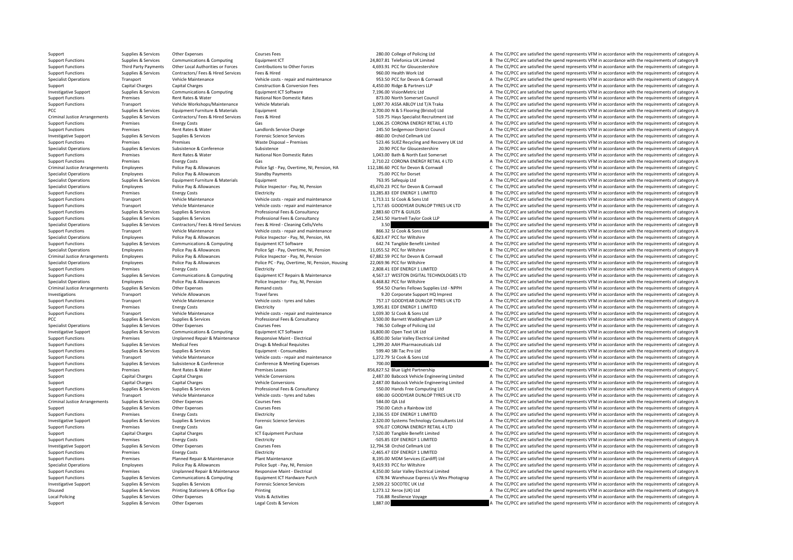Support Supplies & Services Other Expenses Courses Fees 280.00 College of Policing Ltd A The CC/PCC are satisfied the spend represents VFM in accordance with the requirements of category A

Support Functions Supplies & Services Communications & Computing Equipment ICT 24,807.81 Telefonica UK Limited B The CC/PCC are satisfied the spend represents VFM in accordance with the requirements of category B Third Party Payments Other Local Authorities or Forces Contributions to Other Forces and the COSTALLE CONFOCCONTERENT A The CCONGERGATIVE CONFERENTIE A The CONFOCC are satisfied the spend represents VFM in accordance with A The CC/PCC are satisfied the spend represents VFM in accordance with the requirements of category A Specialist Operations Transport Vehicle Maintenance Vehicle costs - repair and maintenance 953.50 PCC for Devon & Cornwall A The CC/PCC are satisfied the spend represents VFM in accordance with the requirements of category Capital Charges Capital Charges Construction & Conversion Fees 4,450.00 Ridge & Partners LLP A The CC/PCC are satisfied the spend represents VFM in accordance with the requirements of category A Investigative Support Supplies & Services Communications & Computing Equipment ICT Software 7,196.00 VisionMetric Ltd A The CC/PCC are satisfied the spend represents VFM in accordance with the requirements of category A Support Functions Premises Rent Rates & Water National Non Domestic Rates 873.00 North Somerset Council A The CC/PCC are satisfied the spend represents VFM in accordance with the requirements of category A Support Functions Transport Vehicle Workshops/Maintenance Vehicle Materials vehicle Materials 1,097.70 ASSA ABLOY Ltd T/A Traka A The CC/PCC are satisfied the spend represents VFM in accordance with the requirements of cat PCC Supplies Services Equipment Equipment Equipment Equipment 2,700.00 N & S Flooring (Bristol) Ltd A The CC/PCC are satisfied the spend represents VFM in accordance with the requirements of category A Contractors of a Con Criminal Justice Arrangements Supplies & Services Contractors/ Fees & Hired Services Fees & Hired 519.75 Hays Specialist Recruitment Ltd A The CC/PCC are satisfied the spend represents VFM in accordance with the requiremen Support Functions Premises Energy Costs Gas Gas Gas 1,006.25 CORONA ENERGY RETAIL 4 LTD A The CC/PCC are satisfied the spend represents VFM in accordance with the requirements of category A The Crisis Corona and Controller Support Functions Rent Rates Rent Rates Rent Rates Rent Rates Rent Rates and Charge 245.50 September 26, September 26, September 245.50 September 245.50 September 245.50 September 245.50 September 245.50 September 245.50 S Investigative Support Supplies & Services Supplies & Services Supplies & Services Forensic Science Services Forensic Science Services – Support Support and Recover of the CC/PCC are satisfied the spend represents VFM in ac Premises Premises Waste Disposal – Premises Support Functions Sections and Recovery UK Ltd A The CC/PCC are satisfied the spend represents VFM in accordance with the requirements of category A Specialist Operations Supplies & Services Subsistence Subsistence Subsistence Subsistence Subsistence Subsistence Subsistence Subsistence Subsistence Subsistence Subsistence Subsistence Subsistence Subsistence Subsistence Support Functions Premises Rent Rates & Water National Non Domestic Rates 1,043.00 Bath & North East Somerset A The CC/PCC are satisfied the spend represents VFM in accordance with the requirements of category A Support Fu Support Functions Premises Factors Gas Casts Gas 2,710.22 CORONA ENERGY RETAIL 4 LTD A The CC/PCC are satisfied the spend represents VFM in accordance with the requirements of category A Criminal Justice Arrangements Employees Police Pay & Allowances Police Spr Pay, Overtime, NI, Pension, HA 112,186.60 PCC for Devon & Cornwall Come CC/PCC are satisfied the spend represents VFM in accordance with the requir Employees Police Pay & Allowances Standby Payments Company and the COLOGE A The CC/PCC are satisfied the spend represents VFM in accordance with the requirements of category A Specialist Operations Supplies & Services Equipment Furniture & Materials Equipment Equipment Equipment Equipment Purniture & Materials Equipment Equipment Pay, NL Pension a The CC/PC are satisfied the spend represents VFM Specialist Operations Employees Police Pay & Allowances Police Inspector - Pay, NJ, Pension 45,670.23 PCC for Devon & Cornwall Community Content Care and the CC/PCC are satisfied the spend represents VFM in accordance with Support Functions Premises Energy Costs Electricity Functions Premises Premises Energy Costs Electricity 13,285.83 EDF ENERGY 1 LIMITED B The CC/PCC are satisfied the spend represents VFM in accordance with the requirement Support Functions Transport Vehicle Maintenance Vehicle costs ‐ repair and maintenance 1,713.11 SJ Cook & Sons Ltd A The CC/PCC are satisfied the spend represents VFM in accordance with the requirements of category A Vehic Vehicle Maintenance Metal costs - repair and maintenance 1,717.65 GOODYEAR DUNLOP TYRES UK LTD A The CC/PCC are satisfied the spend represents VFM in accordance with the requirements of category A Support Functions Supplies & Services Supplies & Services Supplies & Services Professional Fees & Consultancy 2,883.60 CITY & GUILDS A The CC/PCC are satisfied the spend represents VFM in accordance with the requirements o Supplies Services Supplies & Services Supplies & Services Professional Fees & Consultancy Professional Fees & Consultancy 2,541.50 Hartnell Taylor Cook LLP A The CC/PCC are satisfied the spend represents VFM in accordance Specialist Operations Supplies Services Contractors/ Fees & Hired Services Fees & Hired - Cleaning Cells/Vehs 3.50 3.50 B The CC/PCC are satisfied the spend represents VFM in accordance with the requirements of category B Support Functions Transport Vehicle Maintenance Vehicle Costs - repair and maintenance and a Support Base of the CC/PCC are satisfied the spend represents VFM in accordance with the requirements of category A The CC/PCC ar Employees Police Pay & Allowances Police Inspector - Pay, NI, Pension, HA 6,823.47 PCC for Wiltshire A The CC/PCC are satisfied the spend represents VFM in accordance with the requirements of category A Support Functions Supplies & Services Communications & Computing Equipment ICT Software 642.74 Tangible Benefit Limited A The CC/PCC are satisfied the spend represents VFM in accordance with the requirements of category A Specialist Operations Figures Employees Police Pay & Allowances Police Set - Pay, Overtime, NJ, Pension 11,055.52 PCC for Wiltshire Bay and Bay and Bay and the CC/PCC are satisfied the spend represents VFM in accordance wi Criminal lustice arrangements Employees Police Pay & Allowances Police Property Canadia Police Pay & Allowances Police Pay & Allowances Police Property C-Ray IN Pension Canadia Criminal Canadia Criminal Canadia Criminal Ca Specialist Operations Employees Police Pay & Allowances Police PC - Pay, Overtime, NJ, Pension, Housing 22,069.96 PCC for Wiltshire Bay and Decorations Bureau is the CC/PCC are satisfied the spend represents VFM in accorda Premises Energy Costs Electricity Electricity **Electricity** 2,808.41 EDF ENERGY 1 LIMITED A The CC/PCC are satisfied the spend represents VFM in accordance with the requirements of category A Supplies & Services Communications & Computing Equipment ICT Repairs & Maintenance 4.567.17 WESTON DIGITAL TECHNOLOGIES LTD A The CC/PCC are satisfied the spend represents VFM in accordance with the requirements of categor Specialist Operations Employees Police Pay & Allowances Police Inspector - Pay, NI, Pension 6,468.82 PCC for Wiltshire A The CC/PCC are satisfied the spend represents VFM in accordance with the requirements of category A Criminal Justice Arrangements Supplies Services Other Expenses Remand costs 954.50 Charles Fellows Supplies Ltd - NPPH A The CC/PCC are satisfied the spend represents VFM in accordance with the requirements of category A Investigations Transport Vehicle Allowances Travel fares Travel fares and the spend temporate Support HQ Imprest A The CC/PCC are satisfied the spend represents VFM in accordance with the requirements of category A Support Functions Transport Vehicle Maintenance Vehicle costs - tyres and tubes 757.17 GOODYEAR DUNLOP TYRES UK LTD A The CC/PCC are satisfied the spend represents VFM in accordance with the requirements of category A Supp Support Functions Premises Energy Costs Energy Costs Electricity Electricity and the spend and the Energy Costs Energy Costs Electricity Costs Electricity and a Sepan and the COVIC are satisfied the spend represents VFM in Support Functions Transport Vehicle Maintenance Vehicle costs - repair and maintenance 1,039.30 SJ Cook & Sons Ltd A The CC/PCC are satisfied the spend represents VFM in accordance with the requirements of category A PCC Supplies & Services Supplies & Services Professional Fees & Consultancy 3,500.00 Barnett Waddingham LLP A The CC/PCC are satisfied the spend represents VFM in accordance with the requirements of category A Specialist Operations Supplies Services Other Expenses Courses Fees 746.50 College of College of College of College of College of College of College of College of College of College of College of College of College of Coll Investigative Support Supplies & Services Communications & Computing Equipment ICT Software 16,800.00 Open Text UK Ltd B The CC/PCC are satisfied the spend represents VFM in accordance with the requirements of category B S Premises Unplanned Repair & Maintenance Responsive Maint - Electrical Section 1991 6,850.00 Solar Valley Electrical Limited A The CC/PCC are satisfied the spend represents VFM in accordance with the requirements of categor Support Functions Supportes Medical Fees Drugs & Medical Requisites Drugs & Medical Requisites 1,299.20 AAH Pharmaceuticals Ltd A The CC/PCC are satisfied the spend represents VFM in accordance with the requirements of cat Support Functions Supplies & Services Supplies & Services Supplies & Services Equipment - Consumables Equipment - Consumables 599.40 SBI Tac Pro Ltd A The CC/PCC are satisfied the spend represents VFM in accordance with th Support Functions Transport Vehicle Maintenance Vehicle costs sensix and maintenance 1,272.79 SJ Cook & Sons Ltd A The CC/PCC are satisfied the spend represents VFM in accordance with the requirements of category A Support Functions Supplies & Services Subsistence & Conference Conference Conference Conference Conference Conference Conference and Meeting Expenses 700.00 700.00 The CC/PCC are satisfied the spend represents VFM in accor Premises Rent Rates & Water Premises Leases The Support Rates and Assess and Departments of category C The CC/PCC are satisfied the spend represents VFM in accordance with the requirements of category C Support Capital Charges Capital Charges Vehicle Conversions Vehicle Conversions 2,487.00 Babcock Vehicle Engineering Limited A The CC/PCC are satisfied the spend represents VFM in accordance with the requirements of catego Support Capital Charges Capital Charges Vehicle Conversions Vehicle Conversions 2,487.00 Babcock Vehicle Engineering Limited A The CC/PCC are satisfied the spend represents VFM in accordance with the requirements of catego Support Functions Supplies & Services Supplies & Services Professional Fees & Consultancy 550.00 Hands Free Computing Ltd A The CC/PCC are satisfied the spend represents VFM in accordance with the requirements of category Support Functions Transport Vehicle Maintenance Vehicle Costs - tyres and tubes 690.00 GOODYEAR DUNLOP TYRES UK LTD A The CC/PCC are satisfied the spend represents VFM in accordance with the requirements of category A Cour A The CC/PCC are satisfied the spend represents VFM in accordance with the requirements of category A Support Supplies & Services Other Expenses Courses Fees Courses Fees 750.00 Catch a Rainbow Ltd A The CC/PCC are satisfied the spend represents VFM in accordance with the requirements of category A Support Functions Premises Energy Costs Energy Costs Electricity Electricity Electricity 2,336.55 EDF ENERGY 1 LIMITED A The CC/PCC are satisfied the spend represents VFM in accordance with the requirements of category A T Investigative Support Support Supporters Supportion Supportion Supportion Supportion Support Supportion Support Support Support Support Support Support Support Support Support Support Support Support of Dec Support of Dec Support Functions Premises Energy Costs Gas Gas Gas Base of Gas 976.07 CORONA ENERGY RETAIL 4 LTD A The CC/PCC are satisfied the spend represents VFM in accordance with the requirements of category A Support Puncha Support Support Capital Charges Capital Charges ICT Equipment Purchase 120 Tangible Benefit Limited A The CC/PCC are satisfied the spend represents VFM in accordance with the requirements of category A Support Functions Premises Premises Energy Costs Electricity Electricity Electricity – FOS.85 EDF ENERGY 1 LIMITED A The CC/PCC are satisfied the spend represents VFM in accordance with the requirements of category A The C Investigative Support Supplies & Services Other Expenses Courses Fees Courses Fees 12,794.58 Orchid Cellmark Ltd B The CC/PCC are satisfied the spend represents VFM in accordance with the requirements of category B Service Support Functions Premises Energy Costs Electricity Electricity Electricity Electricity Electricity Electricity Electricity –2,465.47 EDF ENERGY 1 LIMITED A The CC/PCC are satisfied the spend represents VFM in accordance w Support Functions Premises Planned Repair & Maintenance Plant Maintenance Plant Maintenance Blant Maintenance Blant Maintenance 8,195.00 MDM Services (Cardiff) Ltd A The CC/PCC are satisfied the spend represents VFM in acc A The CC/PCC are satisfied the spend represents VFM in accordance with the requirements of category A Support Functions Premises Unplanned Repair & Maintenance Responsive Maint - Electrical A350.00 Solar Valley Electrical Limited A50.00 Solar Valley Electrical Limited A The CC/PCC are satisfied the spend represents VFM in Supplies & Services Communications & Computing Equipment ICT Hardware Purch 678.94 Warehouse Express t/a Wex Photograp A The CC/PCC are satisfied the spend represents VFM in accordance with the requirements of category A Investigative Support Supplies & Services Supplies & Services Forensic Science Services Forensic Science Services 2,509.22 SOCOTEC UK Ltd A The CC/PCC are satisfied the spend represents VFM in accordance with the requireme Disused Supplies & Services Printing Stationery & Office Exp Printing Printing 1,273.12 Xerox (UK) Ltd A The CC/PCC are satisfied the spend represents VFM in accordance with the requirements of category A Local Policing Supplies Bervices Other Expenses Visits & Activities Visits & Activities 716.88 Resilience Voyage A The CC/PCC are satisfied the spend represents VFM in accordance with the requirements of category A Supplie Support Support Support Other Expenses A Legal Costs & Services 1,887.00 A The CC/PCC are satisfied the spend represents VFM in accordance with the requirements of category A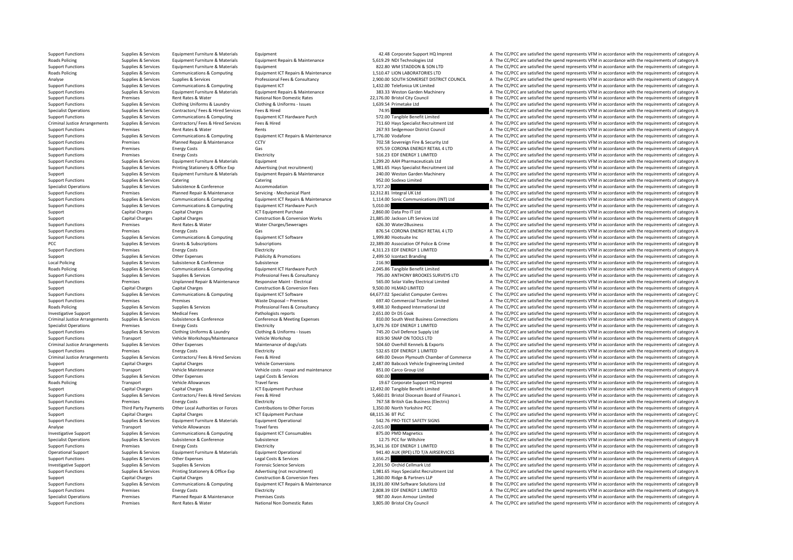Support Functions Premises Rent Rates & Water National Non Domestic Rates 3,805.00 Bristol City Council A The CC/PCC are satisfied the spend represents VFM in accordance with the requirements of category A

Support Functions Supplies & Services Equipment Furniture & Materials Equipment A The CC/PCC are satisfied the spend represents VFM in accordance with the requirements of category A Supplies & Services Equipment Furniture & Materials Equipment Repairs & Maintenance Supplies & Services Equipment Repairs Materials Equipment Repairs & Maintenance Materials Supplies (to the CC/PCC are satisfied the spend Support Functions Supplies & Services Equipment Furniture & Materials Equipment Burniture & Materials Equipment Burniture & Materials Equipment CT Repairs & Maintenance and the SON LTD SCALE A The CC/PCC are satisfied the Communications & Computing Equipment ICT Repairs & Maintenance 1,510.47 LION LABORATORIES LTD A The CC/PCC are satisfied the spend represents VFM in accordance with the requirements of category A and the spend represents V Analyse Supplies & Services Supplies & Services Professional Fees & Consultancy 2,900.00 SOUTH SOMERSET DISTRICT COUNCIL A The CC/PCC are satisfied the spend represents VFM in accordance with the requirements of category A Support Functions Supplies & Services Communications & Computing Equipment ICT 1,432.00 Telefonica UK Limited A The CC/PCC are satisfied the spend represents VFM in accordance with the requirements of category A Supplies & Services Equipment Furniture & Materials Equipment Repairs & Maintenance 383.33 Weston Garden Machinery And The CC/PCC are satisfied the spend represents VFM in accordance with the requirements of category A Support Functions Premises Rent Rates & Water National Non Domestic Rates 22,176.00 Bristol City Council B The CC/PCC are satisfied the spend represents VFM in accordance with the requirements of category B Support Functions Supplies & Services Clothing Uniforms & Laundry Clothing & Uniforms – Issues 1,639.54 Primetake Ltd A The CC/PCC are satisfied the spend represents VFM in accordance with the requirements of category A Su Species Specialist Operations Contractors/ Fees & Hired Fees & Hired Fees & Hired Services Fees & Hired Services Fees & Hired 74.95 A The CC/PCC are satisfied the spend represents VFM in accordance with the requirements of Support Functions are the contractions of the contractions of the contractions of the contractions of the contractions of the contractions of the contractions of the contractions of the contractions of the contractions of Criminal Justice Arrangements Supplies & Services Contractors/Fees & Hired Press (Elited Press (2013) and Market China and Market Arrangements of caregive and the CONCORE statistical members are applicable to the CONCORE S Support Functions Premiers Rents Rents Rents Rents 267.03 Sedgemons District Council A The CC/PCC are satisfied the spend represents VFM in accordance with the requirements of category A Support Functions Supplies & Services Communications & Computing Equipment ICT Repairs & Maintenance 1,776.00 Vodafone 1,776.00 Vodafone A The CC/PCC are satisfied the spend represents VFM in accordance with the requiremen Premises Planned Repair & Maintenance CCTV 702.58 Sovereign Fire & Security Ltd A The CC/PCC are satisfied the spend represents VFM in accordance with the requirements of category A Support Functions Premises Energy Costs Gas Gas Gas Gas and Costs Base of the COSTS CORONA ENERGY RETAIL 4 LTD A The CC/PCC are satisfied the spend represents VFM in accordance with the requirements of category A The CC/PC Support Functions Premises Energy Costs Electricity Electricity 516.23 EDF ENERGY 1 LIMITED A The CC/PCC are satisfied the spend represents VFM in accordance with the requirements of category A Support Functions (and the r Support Functions Support Functions Support Functions & Materials Equipment 1,200.20 AAH Pharmaceuticals Ltd A The CC/PCC are satisfied the spend represents VFM in accordance with the requirements of category A The CC/PCC Supplies & Services Printing Stationery & Office Exp Advertising (not recruitment) 1,981.65 Hays Specialist Recruitment Ltd A The CC/PCC are satisfied the spend represents VFM in accordance with the requirements of categor Support Support Support Support Equipment Furniture & Materials Equipment Repairs & Maintenance 240.00 Weston Garden Machinery A The CC/PCC are satisfied the spend represents VFM in accordance with the requirements of cate Support Functions Supplies & Services Catering Catering Catering Catering Catering Catering Catering Catering Category A The CC/PCC are satisfied the spend represents VFM in accordance with the requirements of category A Specialist Operations Supplies & Services Subsistence & Conference Accommodation accommodation 3,727.20 **3,727.20** B The CC/PCC are satisfied the spend represents VFM in accordance with the requirements of category B Danne Support Functions Premises Planned Repair & Maintenance Servicing - Mechanical Plant 12,312.81 Integral UK Ltd B The CC/PCC are satisfied the spend represents VFM in accordance with the requirements of category B The CC/PC Supplies & Services Communications & Computing Equipment ICT Repairs & Maintenance 1.114.00 Sonic Communications (INT) Ltd A The CC/PCC are satisfied the spend represents VFM in accordance with the requirements of category A The CC/PCC are satisfied the spend represents VFM in accordance with the requirements of category A Support Capital Charges Capital Charges ICT Equipment Purchase 2,860.00 Data Pro IT Ltd A The CC/PCC are satisfied the spend represents VFM in accordance with the requirements of category A The CC/PCC are satisfied the spe Support Capital Charges Capital Charges Capital Charges Construction & Conversion Works 21,885.00 Jackson Lift Services Ltd B The CC/PCC are satisfied the spend represents VFM in accordance with the requirements of categor Support Functions Premises Rent Rates & Water Water WaterCharges Charges A The CC/PCC are satisfied the spend represents VFM in accordance with the requirements of category A Support Functions Premises Premises Energy Costs Gas Gas Gas Basent Costs Gas 876.54 CORONA ENERGY RETAIL 4 LTD A The CC/PCC are satisfied the spend represents VFM in accordance with the requirements of category A Support A The CC/PCC are satisfied the spend represents VFM in accordance with the requirements of category A PCC PCC Supplies A Services Grants & Subscriptions Subscriptions Subscriptions Subscriptions Subscriptions Subscriptions Subscriptions and the case of a crime B The CC/PCC are satisfied the spend represents VFM in accordan Support Functions Premises Premises Energy Costs Electricity Electricity Electricity Electricity A,311.23 EDF ENERGY 1 LIMITED A The CC/PCC are satisfied the spend represents VFM in accordance with the requirements of cate Support Support Support Other Expenses Publicity & Promotions 2,499.50 Contact Branding A The CC/PCC are satisfied the spend represents VFM in accordance with the requirements of category A Local Policing Supplies Services Subsistence Subsistence Subsistence Subsistence Subsistence Subsistence Subsistence 2016.90 A The CC/PCC are satisfied the spend represents VFM in accordance with the requirements of catego Roads Policing Supplies & Services Communications & Computing Equipment ICT Hardware Purch 2,045.86 Tangible Benefit Limited A The CC/PCC are satisfied the spend represents VFM in accordance with the requirements of catego Supplies & Services Supplies & Services Supplies & Services Supplies & Services Professional Fees & Consultancy 795,00 ANTHONY BROOKES SURVEYS LTD A The CC/PCC are satisfied the spend represents VFM in accordance with the Support Functions Premises Unplanned Repair & Maintenance Responsive Maint - Electrical Support Bestival Unplanned Repair & Maintenance Responsive Maint - Electrical Support Flectrical Limited A The CC/PCC are satisfied th Support Capital Charges Capital Charges Construction & Conversion Fees 9,500.00 HLMAD LIMITED A The CC/PCC are satisfied the spend represents VFM in accordance with the requirements of category A Supplies & Services Communications & Computing Equipment ICT Software exceptional capacity computer Centres Computing Capacity Computer Centres CheckPCC are satisfied the spend represents VFM in accordance with the require Support Functions Premises Premises Premises Premises Waste Disposal – Premises Waste Disposal – Premises Waste Disposal – Premises 697.40 Commercial Transfer Limited A The CC/PCC are satisfied the spend represents VFM in Roads Policing Supplies & Services Supplies & Services Professional Fees & Consultancy 9,498.10 Redspeed International Ltd A The CC/PCC are satisfied the spend represents VFM in accordance with the requirements of category Investigative Support Supplies & Services Medical Fees Pathologists reports Pathologists reports 2,651.00 Dr DS Cook A The CC/PCC are satisfied the spend represents VFM in accordance with the requirements of category A The Criminal Justice Arrangements Supplies & Services Subsistence Subsistence Conference Conference Conference Conference Conference Conference Conference Subsistence Conference Subsistence Conference Conference Subsistence Co Specialist Operations Specialist Operations Premises Energy Costs Electricity Steven Costs Electricity 3,479.76 EDF ENERGY 1 LIMITED A The CC/PCC are satisfied the spend represents VFM in accordance with the requirements o Support Functions Supplies & Services Clothing Uniforms & Laundry Clothing & Uniforms - Issues 745.20 Civil Defence Supply Ltd Mark 2012 A The CC/PCC are satisfied the spend represents VFM in accordance with the requiremen Support Functions Transport Vehicle Workshops/Maintenance Vehicle Workshop 819.90 SNAP ON TOOLS LTD A The CC/PCC are satisfied the spend represents VFM in accordance with the requirements of category A Criminal Justice Arrangements Supplies & Services Other Expenses Maintenance of dogs/cats Maintenance of dogs/cats 504.60 Overhill Kennels & Exports A The CC/PCC are satisfied the spend represents VFM in accordance with th Support Functions Premises Energy Costs Energy Costs Electricity Electricity Electricity 532.65 EDF ENERGY 1 LIMITED A The CC/PCC are satisfied the spend represents VFM in accordance with the requirements of category A The Criminal lustice Arrangements Sunnice & Senvices Contractors (Feace & Hired Senvices Feace & Hired Senvices Feace & Hired Senvices Feace & Hired Senvices Feace & Hired Senvices Contractors A The CC/DCC are satisfied the sp Support Capital Charges Capital Charges Capital Charges Vehicle Conversions Vehicle Conversions 2,487.00 Babcock Vehicle Engineering Limited A The CC/PCC are satisfied the spend represents VFM in accordance with the requir Transport Vehicle Maintenance Vehicle costs ‐ repair and maintenance a BS1.00 Carco Group Ltd A The CC/PCC are satisfied the spend represents VFM in accordance with the requirements of category A Support Functions Supplies & Services Other Expenses Legal Costs & Services Legal Costs Correct Costs Costs Costs Costs and COSTS Corporate Support HQ Imprest A The CC/PCC are satisfied the spend represents VFM in accordan Roads Policing Transport Vehicle Allowances Travel fares Travel fares 19.67 Corporate Support HQ Imprest A The CC/PCC are satisfied the spend represents VFM in accordance with the requirements of category A Capital Charges Capital Charges Capital Charges ICT Equipment Purchase 12,492.00 Tangible Benefit Limited Benefit Limited B The CC/PCC are satisfied the spend represents VFM in accordance with the requirements of category Supplies & Services Contractors/Fees & Hired Services Fees & Hired Music Electricity (Support Finance L A The CC/PCC are satisfied the spend represents VFM in accordance with the requirements of category A Electricity Elec Support Functions Premises Energy Costs Electricity Electricity Electricity 767.58 British Gas Business (Electricity A The CC/PCC are satisfied the spend represents VFM in accordance with the requirements of category A Sup Third Party Payments Other Local Authorities or Forces Contributions to Other Forces 1.350.00 North Yorkshire PCC Are satisfied the soend represents VFM in accordance with the requirements of category A Support Capital Charges Capital Charges Capital Charges ICT Equipment Purchase Satisfied Companies and Companies of category C The CC/PCC are satisfied the spend represents VFM in accordance with the requirements of catego Support Functions Supplies & Services Equipment Furniture & Materials Equipment Operational Equipment Operational 542.76 PRO‐TECT SAFETY SIGNS A The CC/PCC are satisfied the spend represents VFM in accordance with the requ Analyse Computer Transport Vehicle Allowances Travel fares Travel fares Travel fares Travel fares Travel fares Travel fares and the controlled and the CC/PCC are satisfied the spend represents VFM in accordance with the re Investigative Support Supplies & Services Communications & Computing Equipment ICT Consumables 875.00 PMD Magnetics A The CC/PCC are satisfied the spend represents VFM in accordance with the requirements of category A Specialist Operations Supplies & Services Subsistence Subsistence Subsistence Subsistence Subsistence Subsistence Subsistence Subsistence Subsistence Subsistence Subsistence Subsistence and the Subsistence and the CC/PCC a Support Functions Premises Premises Energy Costs Electricity Bectricity Bectricity and the state of the Support Energy Costs Equipment Decambent Derational and the Support B The CC/PCC are satisfied the spend represents VF Operational Support Supplies & Services Equipment Furniture & Materials Equipment Operational equipment Operational<br>
Support Functions Supplies & Services Other Expenses Degal Costs & Services Legal Costs & Services 3,656. Supplies & Services Other Expenses Other Expenses Category A Legal Costs & Services 2,000 A Costs 3,656.25 A The CC/PCC are satisfied the spend represents VFM in accordance with the requirements of category A Support of th Investigative Support Supplies & Services Supplies & Services Forensic Science Services Forensic Science Services Process 2,201.50 Orchid Cellmark Ltd A The CC/PCC are satisfied the spend represents VFM in accordance with Supplies & Services Printing Stationery & Office Exp Advertising (not recruitment) 1,981.65 Hays Specialist Recruitment Ltd A The CC/PCC are satisfied the spend represents VFM in accordance with the requirements of categor Support Capital Charges Capital Charges Construction & Conversion Fees 1,260.00 Ridge & Partners LLP A The CC/PCC are satisfied the spend represents VFM in accordance with the requirements of category A Supplies & Services Communications & Computing Equipment ICT Repairs & Maintenance 18,191.00 KIM Software Solutions Ltd B The CC/PCC are satisfied the spend represents VFM in accordance with the requirements of category B Support Functions Premises Energy Costs Electricity Electricity Electricity 2,808.39 EDF ENERGY 1 LIMITED A The CC/PCC are satisfied the spend represents VFM in accordance with the requirements of category A Specialist Operations Premises Planned Repair & Maintenance Premises Costs 987.00 Avon Armour Limited A The CC/PCC are satisfied the spend represents VFM in accordance with the requirements of category A Superbook a The Co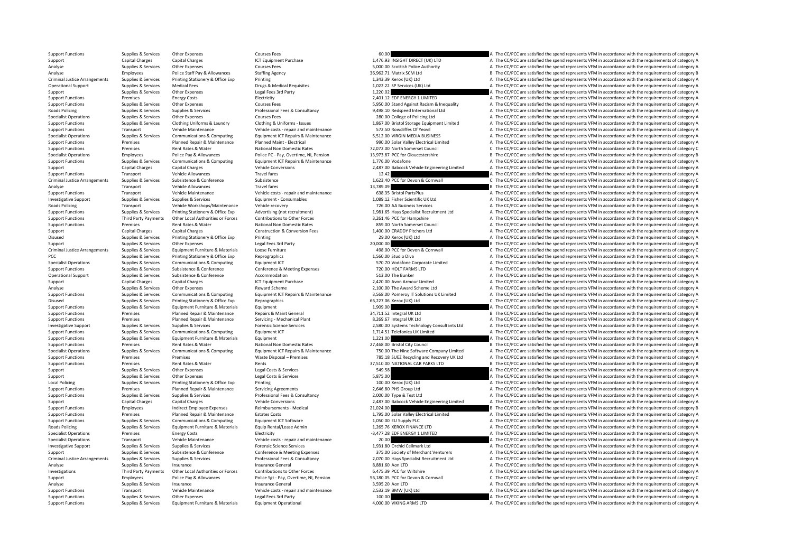Support Functions Supplies & Services Other Expenses Courses Fees Courses Fees 60.00 A The CC/PCC are satisfied the spend represents VFM in accordance with the requirements of category A The CC/PCC are satisfied the spend Support Capital Charges Capital Charges Capital Charges ICT Equipment Purchase 1,476.93 INSIGHT DIRECT (UK) LTD A The CC/PCC are satisfied the spend represents VFM in accordance with the requirements of category A Analyse Supplies Services Other Expenses Courses Fees Courses Fees Staffing Agency Supplies A The CC/PCC are satisfied the spend represents VFM in accordance with the requirements of category B<br>Analyse Analyse Analyse Anal Analyse Employees Police Staff Pay & Allowances Staffing Agency 36,962.71 Matrix SCM Ltd B The CC/PCC are satisfied the spend represents VFM in accordance with the requirements of category B Criminal Justice Arrangements Supplies & Services Printing Stationery & Office Exp Printing Printing Printing 1,343.39 Xerox (UK) Ltd A The CC/PCC are satisfied the spend represents VFM in accordance with the requirements Operational Support Supplies & Services Medical Fees Drugs & Medical Requisites Drugs & Medical Requisites 1,022.22 SP Services (UK) Ltd A The CC/PCC are satisfied the spend represents VFM in accordance with the requiremen Supplies & Services Other Expenses Legal Fees 3rd Party 1,220.02 1,220.02 A The CC/PCC are satisfied the spend represents VFM in accordance with the requirements of category A Support Functions Premises Energy Costs Electricity Electricity Electricity 2,401.12 EDF ENERGY 1 LIMITED A The CC/PCC are satisfied the spend represents VFM in accordance with the requirements of category A Support Functions Supplies & Services Other Expenses Courses Fees Courses Fees Services Courses Fees Services<br>
Professional Fees & Consultancy and the spend represent and the CC/PCC are satisfied the spend represents VFM i Roads Professional Fees & Consultancy Supplies and the CC/PCC are satisfied the spend represents VFM in accordance with the requirements of category A Supplies & Services Supplies & Services Professional Fees & Consultancy Specialist Operations Supplies & Services Other Expenses Courses Fees Courses Fees 280.00 College of Policing Ltd A The CC/PCC are satisfied the spend represents VFM in accordance with the requirements of category A The Cr Support Functions Support Support Support Services Clothing Uniforms & Laundry Clothing & Uniforms Clothing & Uniforms - States Clothing & Uniforms - States 1,867.00 Bristol Storage Equipment Limited A The CC/PCC are satis Support Functions Transport Vehicle Maintenance Vehicle Anti-ance Vehicle Anti-ance Vehicle Maintenance Vehicle Maintenance Vehicle Maintenance Vehicle Maintenance Vehicle Maintenance With the requirements of category A Th Specialist Operations Supplies & Services Communications & Computing Equipment ICT Repairs & Maintenance 5,512.00 VIRGIN MEDIA BUSINESS A The CC/PCC are satisfied the spend represents VFM in accordance with the requirement Premises Planned Repair & Maintenance Planned Maint - Electrical 990.00 Solar Valley Electrical Limited A The CC/PCC are satisfied the spend represents VFM in accordance with the requirements of category A Support Functions Premises Premises Rent Rates & Water National Non Domestic Rates 72,072.00 North Somerset Council C The CC/PCC are satisfied the spend represents VFM in accordance with the requirements of category C Pres Specialist Operations Employees Police Pay & Allowances Police PC - Pay, Overtime, NI, Pension 13,973.87 PCC for Gloucestershire Bureau Band a The CC/PCC are satisfied the spend represents VFM in accordance with the requir Support Functions Supplies & Services Communications & Computing Equipment ICT Repairs & Maintenance 1,776.00 Vodafone 1,776.00 Vodafone A The CC/PCC are satisfied the spend represents VFM in accordance with the requiremen Support Capital Charges Capital Charges Capital Charges Vehicle Conversions Vehicle Conversions 2,487.00 Babcock Vehicle Engineering Limited A The CC/PCC are satisfied the spend represents VFM in accordance with the requir Travel fares Travel fares Travel fares Travel fares and the spend represents VFM in accordance with the requirements of category A The CC/PCC are satisfied the spend represents VFM in accordance with the requirements of ca Criminal Justice Arrangements Supplies & Services Subsistence Subsistence Subsistence Subsistence Subsistence Subsistence Subsistence Subsistence Subsistence and the spend represents VFM in accordance with the requirements Analyse Transport Vehicle Allowances Travel fares Travel fares Travel fares 13,789.09 B The CC/PCC are satisfied the spend represents VFM in accordance with the requirements of category B (and the reduce on the controllati Support Vehicle Maintenance Vehicle costs and maintenance Case Costs Category A The CC/PC are satisfied the spend represents VFM in accordance with the requirements of category A The CC/PC are satisfied the spend represent Investigative Support Supplies & Services Supplies & Services Supplies Equipment - Consumables Equipment - Consumables 1,089.12 Fisher Scientific UK Ltd A The CC/PCC are satisfied the spend represents VFM in accordance wit Transport Vehicle Workshops/Maintenance Vehicle recovery 726.00 AA Business Services A The CC/PCC are satisfied the spend represents VFM in accordance with the requirements of category A Supplies Supplies & Services Printing Stationery & Office Exp Advertising (not recruitment) 1,981.65 Hays Specialist Recruitment Ltd a The CC/PCC are satisfied the spend represents VFM in accordance with the requirements o Third Party Payments Other Local Authorities or Forces Contributions to Other Forces and the Support Functions of the CC/PCC are satisfied the spend represents VFM in accordance with the requirements of category A Support Support Functions Premises Premises Rent Rates & Water Mational Non Domestic Rates Rent Rates Rent Rates Rent Rent Rates Rent Rent Rates Rent Rent Rates Rent Rent Rates Rent Rent Rates Rent Rent Rent Rent Rent Rates Constr Capital Charges Capital Charges Capital Charges Construction & Conversion Fees 1,400.00 CRADDY Pitchers Ltd A The CC/PCC are satisfied the spend represents VFM in accordance with the requirements of category A Disused Serv Printing 29.00 Xerox (UK) Ltd 29.00 Xerox (UK) Ltd A The CC/PCC are satisfied the spend represents VFM in accordance with the requirements of category A<br>Legal Fees 3rd Party 20,000.00 20,000.00 20,000.00 20,000 20,000 1 3 Support Support Support Support Support Other Expenses Content Expenses Legal Fees 3rd Party Legal Fees 3rd Party 20,000.00 20,000.00 B The CC/PCC are satisfied the spend represents VFM in accordance with the requirements Criminal Justice Arrangements Supplies & Services Equipment Furniture & Materials Loose Furniture in the content of the CC/PCC are satisfied the spend represents VFM in accordance with the requirements of category C<br>Prince PCC Supplies & Services Printing Stationery & Office Exp Reprographics 1,560.00 Studio Diva A The CC/PCC are satisfied the spend represents VFM in accordance with the requirements of category A Specialist Operations Supplies & Services Communications & Computing Equipment ICT Equipment ICT 570.70 Vodafone Corporate Limited A The CC/PCC are satisfied the spend represents VFM in accordance with the requirements of A The CC/PCC are satisfied the spend represents VFM in accordance with the requirements of category A Operational Support Support Support Support Support Support Support Support Accommodation Accommodation Accommodation 513.00 The Bunker A The CC/PCC are satisfied the spend represents VFM in accordance with the requirement Support Capital Charges Capital Charges ICT Equipment Purchase ICT Equipment Purchase 2,420.00 Avon Armour Limited A The CC/PCC are satisfied the spend represents VFM in accordance with the requirements of category A Analyse Supplies Services Other Expenses Reward Scheme Reward Scheme 2,100.00 The Award Scheme Ltd A The CC/PCC are satisfied the spend represents VFM in accordance with the requirements of category A Supplies & Services Communications & Computing Equipment ICT Repairs & Maintenance 3,568.00 Pomeroy IT Solutions UK Limited A The CC/PCC are satisfied the spend represents VFM in accordance with the requirements of categor Disused Supplies Services Printing Stationery & Office Exp Reprographics 66,227.06 Xerox (UK) Ltd 66,227.06 Xerox (UK) Ltd C The CC/PCC are satisfied the spend represents VFM in accordance with the requirements of category Support Functions Supplies & Services Faultoment Furniture & Materials Faultoment 1,909.00 A The CC/PCC are satisfied the spend represents VFM in accordance with the requirements of category A Support Functions Premises Planned Repair & Maintenance Repairs & Maint General 34,711.52 Integral UK Ltd B The CC/PCC are satisfied the spend represents VFM in accordance with the requirements of category B The CC/PCC are Support Functions Premises Planned Repair & Maintenance Servicing Mechanical Plant 8,269.67 Integral UK Ltd A The CC/PCC are satisfied the spend represents VFM in accordance with the requirements of category A The Criteria Investigative Support Suppliers, Services Suppliers, Services Suppliers, Services Suppliers, Services Suppliers, Services Suppliers, Services Suppliers, Services Suppliers, Services Suppliers, Services Suppliers, Services Support Functions Supplies & Services Communications & Computing Equipment ICT a support Equipment ICT 1,714.51 Telefonica UK Limited A The CC/PCC are satisfied the spend represents VFM in accordance with the requirements Support Functions Supplies A Supplies A Support Functions Supplies A The CC/PCC are satisfied the spend represents VFM in accordance with the requirements of category A The CC/PCC are satisfied the spend represents VFM in Support Functions Premises Rent Rates & Water National Non Domestic Rates 27,468.00 Bristol City Council B The CC/PCC are satisfied the spend represents VFM in accordance with the requirements of category B Specialist Operations Supplies & Services Communications & Computing Equipment ICT Repairs & Maintenance 750.00 The Nine Software Company Limited A The CC/PCC are satisfied the spend represents VFM in accordance with the r Support Functions Support Premises Premises Premises Waste Disposal Premises 785.18 SUEZ Recycling and Recovery UK Ltd A The CC/PCC are satisfied the spend represents VFM in accordance with the requirements of category A Support Functions Premises Premises Antates & Water Rents Rents Rents Rents Rents Rents Rents Rents Rents Rents Rents Rents Rents Rents Rents Rents Rents Rents Rents Rents Rents Rents Rents Rents Services Services Support Supplies Services Other Expenses Legal Costs & Services 549.58 Services 549.58 A The CC/PCC are satisfied the spend represents VFM in accordance with the requirements of category A Services Control of the Costs and Costs & Support Support Supplies & Services Other Expenses Legal Costs & Services Services Services Services Services 5,875.00 A The CC/PCC are satisfied the spend represents VFM in accordance with the requirements of category A T Local Policing Supplies & Services Printing Supplies Printing Stationery & Office Exp Printing Printing 100.00 Xerox (UK) Ltd A The CC/PCC are satisfied the spend represents VFM in accordance with the requirements of categ Support Functions Premises Planned Repair & Maintenance Servicing Agreements Servicing Agreements Agreements 2,646.80 PHS Group Ltd A The CC/PCC are satisfied the spend represents VFM in accordance with the requirements of Support Functions Supplies & Services Supplies & Services Supplies A Services Professional Fees & Consultancy 2,000.00 Type & Test Ltd A The CC/PCC are satisfied the spend represents VFM in accordance with the requirements Support Capital Charges Capital Charges Vehicle Conversions Vehicle Conversions 2,487.00 Babcock Vehicle Engineering Limited A The CC/PCC are satisfied the spend represents VFM in accordance with the requirements of catego Support Functions Employees Indirect Employee Expenses Reimbursements – Medical 21,024.00 B The CC/PCC are satisfied the spend represents VFM in accordance with the requirements of category B Support Functions Premises Pla Support Functions Premises Planned Repair & Maintenance Estates Costs Estates Costs 1,795.00 Solar Valley Electrical Limited A The CC/PCC are satisfied the spend represents VFM in accordance with the requirements of catego Support Functions Supplies Services Communications & Communications  $\alpha$  Equipment ICT Software 1,050.00 EU Supply PLC A The CC/PCC are satisfied the spend represents VFM in accordance with the requirements of category A Roads Policing Supplies Barvices Equipment Furniture & Materials Equip Rental/Lease Admin 1,265.76 XEROX FINANCE LTD A The CC/PCC are satisfied the spend represents VFM in accordance with the requirements of category A Sup Specialist Operations Premises Energy Costs Electricity Electricity – 3,477.28 EDF ENERGY 1 LIMITED A The CC/PCC are satisfied the spend represents VFM in accordance with the requirements of category A Specialist Operations Transport Vehicle Maintenance Vehicle costs - repair and maintenance 20.00 20.00 A The CC/PCC are satisfied the spend represents VFM in accordance with the requirements of category A Investigative Support Supplies & Services Supplies & Services Forensic Science Services Forensic Science Services Forensic Science Services 1,931.80 Orchid Cellmark Ltd A The CC/PCC are satisfied the spend represents VFM i Support Support Support Subsistence Subsistence Conference Conference Conferences 375.00 Society of Merchant Venturers A The CC/PCC are satisfied the spend represents VFM in accordance with the requirements of category A Criminal Justice Arrangements Supplies & Services Supplies & Services Professional Fees & Consultancy 2,070.00 Hays Specialist Recruitment Ltd A The CC/PCC are satisfied the spend represents VFM in accordance with the requ Analyse Supplies Services Insurance Supplies Insurance General Insurance General A The CC/PCC are satisfied the spend represents VFM in accordance with the requirements of category A Investigations Third Party Payments Other Local Authorities or Forces Contributions to Other Forces 6.475.39 PCC for Wiltshire 6.475.39 PCC for Wiltshire A The CC/PCC are satisfied the spend represents VFM in accordance wi Support Employees Police Pay & Allowances Police Sgt - Pay, Overtime, NI, Pension 56,180.05 PCC for Devon & Cornwall C The CC/PCC are satisfied the spend represents VFM in accordance with the requirements of category C Analyse Supplies & Services Insurance Insurance General 3,595.20 Aon LTD A The CC/PCC are satisfied the spend represents VFM in accordance with the requirements of category A Support Functions Transport Vehicle Maintenance Vehicle costs ‐ repair and maintenance 2,532.19 BMW (UK) Ltd A The CC/PCC are satisfied the spend represents VFM in accordance with the requirements of category A Support Functions Supplies & Services Other Expenses Legal Fees 3rd Party Legal Fees 3rd Party 100.00 MKING ARMS LTD A The CC/PCC are satisfied the spend represents VFM in accordance with the requirements of category A Sup Support Functions Supplies & Services Equipment Furniture & Materials Equipment Operational 4,000.00 VIKING ARMS LTD A The CC/PCC are satisfied the spend represents VFM in accordance with the requirements of category A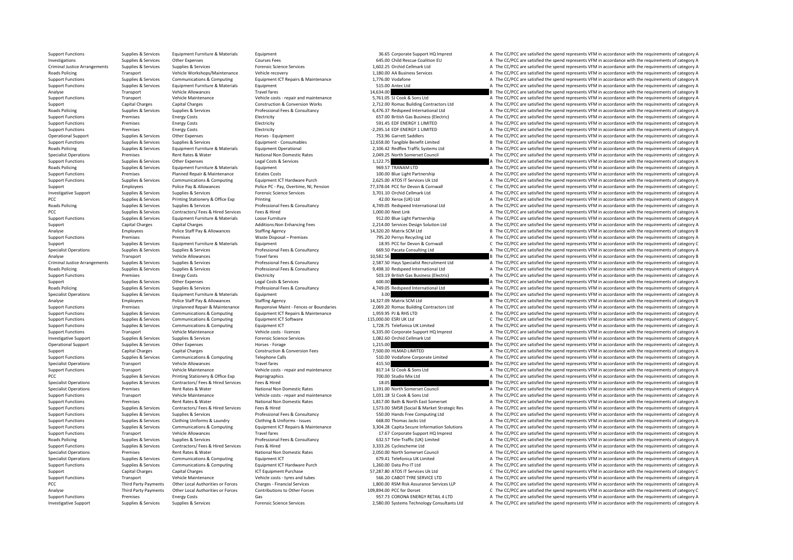of the COPC are satisfied the spend of the conduction of the spending of the spending of the spending of the spending of the spending of the spending of the spending of the spending of the spending of the spending of the s

Support Functions Supplies & Services Equipment Furniture & Materials Equipment A The Support HQ Imprest A The CC/PCC are satisfied the spend represents VFM in accordance with the requirements of category A Investigations Supplies & Services Other Expenses Courses Fees Courses Fees 645.00 Child Rescue Coalition EU A The CC/PCC are satisfied the spend represents VFM in accordance with the requirements of category A Criminal Justice Arrangements Supplies & Services Supplies & Services Supplies & Services Supplies & Services<br>
For alter and the COPCC are satisfied the spend represents VFM in accordance very vehicle Wehlen Wehlen Wehlen Transport Vehicle Workshops/Maintenance Vehicle recovery Vehicle recovery 1,180.00 AA Business Services A The CC/PCC are satisfied the spend represents VFM in accordance with the requirements of category A Supporters A The Support Functions Supplies & Services Communications & Computing Equipment ICT Repairs & Maintenance 1,776.00 Vodafone A The CC/PCC are satisfied the spend represents VFM in accordance with the requirements of category A Support Functions Supplies & Services Equipment Furniture & Materials Equipment Equipment Equipment 515.00 Antec Ltd A The CC/PCC are satisfied the spend represents VFM in accordance with the requirements of category A Analyse Transport Vehicle Allowances Travel fares Travel fares 14,634.00 B The CC/PCC are satisfied the spend represents VFM in accordance with the requirements of category B Support Functions Transport Vehicle Maintenance Vehicle costs ‐ repair and maintenance 5,761.05 SJ Cook & Sons Ltd A The CC/PCC are satisfied the spend represents VFM in accordance with the requirements of category A Support Capital Charges Capital Charges Construction & Conversion Works 2,712.00 Romac Building Contractors Ltd A The CC/PCC are satisfied the spend represents VFM in accordance with the requirements of category A Roads Po Roads Policing Supplies & Services Supplies & Services Professional Fees & Consultancy 6,476.37 Redspeed International Ltd A The CC/PCC are satisfied the spend represents VFM in accordance with the requirements of category A Support Functions Premises Energy Costs Electricity Electricity Electricity and the CC/PCC are satisfied the spend represents VFM in accordance with the requirements of category A The CC/PCC are satisfied the spend represe Support Functions Premises Energy Costs Electricity Electricity 591.45 EDF ENERGY 1 LIMITED A The CC/PCC are satisfied the spend represents VFM in accordance with the requirements of category A The Criticity of the spend r Support Functions Premiers Energy Costs Electricity – 2,295.14 EDF ENERGY 1 LIMITED A The CC/PCC are satisfied the spend represents VEM in accordance with the requirements of category A Operational Support Supplies & Services Other Expenses Morses Equipment Horses - Equipment Publise A The CAPC are satisfied the spend represents VFM in accordance with the requirements of category A Supplies & Services Sup B The CC/PCC are satisfied the spend represents VFM in accordance with the requirements of category B Roads Policing Supplies & Services Equipment Furniture & Materials Equipment Operational equipment Operational<br>Specialist Operations Specialist Operations and premises of the Premises and Materialism (Specialism and the C<br> Specialist Operations Premises Rent Rates Rent Rates Rent Rates National Non Domestic Rates 2,049.25 North Somerset Council A The CC/PCC are satisfied the spend represents VFM in accordance with the requirements of categor Support Functions Supporters Cumplies & Services Cumpus Legal Costs Beautiful Costs and Costs and Costs and Costs and Costs and Costs and Costs and Costs and Costs and Costs and Costs and Costs and Costs and Costs and Cost Roads Policing Supplies Services Equipment Furniture & Materials Equipment Exteriors Extension Equipment Purniture & Materials Equipment extension of the Services of the Service of A The CC/PCC are satisfied the spend repr A The CC/PCC are satisfied the spend represents VFM in accordance with the requirements of category A Support Functions Supplies & Services Communications & Computing Equipment ICT Hardware Purch 2,625.00 ATOS IT Services Uk Ltd A The CC/PCC are satisfied the spend represents VFM in accordance with the requirements of cate Support Employees Police Pay & Allowances Police PC - Pay, Overtime, NI, Pension 77,378.04 PCC for Devon & Cornwall C The CC/PCC are satisfied the spend represents VFM in accordance with the requirements of category C Inve Investigative Support Supplies & Services Supplies & Services Forensic Science Services Forensic Science Services 3,701.10 Orchid Cellmark Ltd A The CC/PCC are satisfied the spend represents VFM in accordance with the requ PCC Supplies & Services Printing Stationery & Office Exp Printing Printing Printing and A The CC/PCC are satisfied the spend represents VFM in accordance with the requirements of category A The CC/PCC are satisfied the spe A The CC/PCC are satisfied the spend represents VFM in accordance with the requirements of category A PCC PCC are satisfied the spend represents VFM in accordance with the requirements of category A The CC/PCC are satisfied the spend represents VFM in accordance with the requirements of category A Supplies & Services Equip Support Functions Supplies & Services Equipment Furniture & Materials Loose Furniture Materials Loose Furniture exceptions of the Service of the Service Decision Solution Itd A The CC/PCC are satisfied the spend represents Support Capital Charges Capital Charges Capital Charges Additions:Non Enhancing Fees 2,214.00 Services Design Solution Ltd A The CC/PCC are satisfied the spend represents VFM in accordance with the requirements of category Analyse Employees Police Staff Pay & Allowances Staffing Agency Staffing Agency 14,320.20 Matrix SCM Ltd B The CC/PCC are satisfied the spend represents VFM in accordance with the requirements of category B Vaste Disposal of Premises and The CC/PCC are satisfied the spend represents VFM in accordance with the requirements of category A<br>The CC/PCC are satisfied the spend represents VFM in accordance with the requirements of category A<br>C The Support Support Supplies & Services Equipment Furniture & Materials Equipment Equipment Equipment Anterials Equipment Equipment Equipment Equipment Professional Fees & Consultancy and the Services and the COPC are satisfie Specialist Operations Supplies & Services Supplies & Services Professional Fees & Consultancy 669.50 Pacata Consulting Ltd A The CC/PCC are satisfied the spend represents VFM in accordance with the requirements of category Analyse Transport Vehicle Allowances Travel fares Travel fares 10,582.56 B The CC/PCC are satisfied the spend represents VFM in accordance with the requirements of category B Criminal Justice Arrangements Supplies & Services Supplies & Services Music Professional Fees & Consultancy Professional Pees & Consultancy 2,587.50 Hays Specialist Recruitment Ltd A The CC/PCC are satisfied the spend repr A The CC/PCC are satisfied the spend represents VFM in accordance with the requirements of category A Support Functions Premises Energy Costs Electricity Electricity Electricity Support Electricity 503.19 British Gas Business (Electric) A The CC/PCC are satisfied the spend represents VFM in accordance with the requirements Support Supplies & Services Other Expenses Legal Costs & Services 600.00 A The CC/PCC are satisfied the spend represents VFM in accordance with the requirements of category A Roads Policing Supplies & Services Supplies & Services Professional Fees & Consultancy 4,749.05 Redspeed International Ltd A The CC/PCC are satisfied the spend represents VFM in accordance with the requirements of category Specialist Operations Supplies & Services Equipment Furniture & Materials Equipment Equipment Supplies & Services Equipment Supplies & Materials Equipment Supplies A The CC/PCC are satisfied the spend represents VFM in acc Analyse Employees Police Staff Pay & Allowances Staffing Agency Staffing Agency 14,327.09 Matrix SCM Ltd B The CC/PCC are satisfied the spend represents VFM in accordance with the requirements of category B Support Functio Unplanned Repair & Maintenance Responsive Maint - Fences or Boundaries 2.069.20 Romac Building Contractors Itd A The CC/PCC are satisfied the spend represents VEM in accordance with the requirements of category A Support Functions Supplies & Services Communications & Computing Equipment ICT Repairs & Maintenance 1,959.95 PJ & RHS LTD A The CC/PCC are satisfied the spend represents VFM in accordance with the requirements of category Support Functions Supplies & Services Communications & Computing Equipment ICT Software 115,000.00 ESRI UK Ltd C The CC/PCC are satisfied the spend represents VFM in accordance with the requirements of category C Supplies Support Functions Supplies Services Communications & Computing Faulthoust ICT 1,000 and 1,728.75 Telefonica UK Limited A The CC/PCC are satisfied the spend represents VFM in accordance with the requirements of category A Support Functions Transport Vehicle Maintenance Vehicle Costs - licences Vehicle costs - licences 6,335.00 Corporate Support HQ Imprest A The CC/PCC are satisfied the spend represents VFM in accordance with the requirement Investigative Support Supplies & Services Supplies & Services Forensic Science Services Forensic Science Services Forensic Science Services 1,082.60 Orchid Cellmark Ltd A The CC/PCC are satisfied the spend represents VFM i Operational Support Supplies & Services Other Expenses Horses Forage Horses Forage 1,215.00 1,215.00 A The CC/PCC are satisfied the spend represents VFM in accordance with the requirements of category A The CC/PCC are sati Support Capital Charges Capital Charges Capital Charges Construction & Conversion Fees 7,500.00 HLMAD LIMITED A The CC/PCC are satisfied the spend represents VFM in accordance with the requirements of category A The Constr Support Functions Supplies & Services Communications & Computing Telephone Calls 510.00 Vodafone Corporate Limited A The CC/PCC are satisfied the spend represents VFM in accordance with the requirements of category A The C Specialist Operations Transport Transport Vehicle Allowances Travel fares Travel fares Travel fares Travel fares Travel fares Travel fares Travel fares Travel fares Transport Vehicle Allowance Vehicle costs repair and main Support Transport Vehicle Maintenance Vehicle Maintenance Vehicle costs - repair and maintenance 817.14 SJ Cook & Sons Ltd A The CC/PCC are satisfied the spend represents VFM in accordance with the requirements of category PCC PCC Supplies A Services Printing Stationery & Office Exp Reprographics Reprographics 700.00 Studio Mix Ltd A The CC/PCC are satisfied the spend represents VFM in accordance with the requirements of category A The CC/PC Specialist Operations Supplies & Services Contractors/ Fees & Hired Services Fees & Hired Services Fees & Hired Services Fees & Hired National Non Domestic Rates 18.05 1.191.00 North Somerset Council and The CC/PCC are sat Specialist Operations Premises Rent Rates & Water National Non Domestic Rates 1,191.00 North Somerset Council A The CC/PCC are satisfied the spend represents VFM in accordance with the requirements of category A Support Functions Transport Vehicle Maintenance Vehicle Costs - repair and maintenance 1,031.18 SJ Cook & Sons Ltd A The CC/PCC are satisfied the spend represents VFM in accordance with the requirements of category A The C Premises Rent Rates & Water National Non Domestic Rates 1,817.00 Bath & North East Somerset A The CC/PCC are satisfied the spend represents VFM in accordance with the requirements of category A Supplies & Services Contractors/ Fees & Hired Services Fees & Hired The COVIDEN 1.573.00 SMSR (Social & Market Strategic Res A The CC/PCC are satisfied the spend represents VFM in accordance with the requirements of catego Support Functions Supplies & Services Supplies & Services Professional Fees & Consultancy Support For the CONSULTANCE Computing Ltd A The CC/PCC are satisfied the spend represents VFM in accordance with the requirements of Support Functions Supplies & Services Clothing Uniforms & Laundry Clothing & Uniforms - Issues 668.00 Thomas Jacks Ltd A The CC/PCC are satisfied the spend represents VFM in accordance with the requirements of category A Supplies & Services Communications & Computing Equipment ICT Repairs & Maintenance 3,304.28 Capita Secure Information Solutions A The CC/PCC are satisfied the spend represents VFM in accordance with the requirements of cat Support Functions Transport Vehicle Allowances Travel fares Travel fares Travel fares 17.67 Corporate Support HQ Imprest A The CC/PCC are satisfied the spend represents VFM in accordance with the requirements of category A Roads Policing Supplies & Services Supplies & Services Professional Fees & Consultancy Professional Fees & Consultancy 632.57 Tele‐Traffic (UK) Limited A The CC/PCC are satisfied the spend represents VFM in accordance with Support Functions Supplies & Services Contractors/ Fees & Hired Services Fees & Hired Services Fees & Hired Services Fees & Hired Services Supplies A The CC/PCC are satisfied the spend represents VFM in accordance with the Specialist Operations Premises Premises Rent Rates Rent Rates National Non Domestic Rates 2,050.00 North Somerset Council A The CC/PCC are satisfied the spend represents VFM in accordance with the requirements of category Specialist Operations Supplies & Services Communications & Computing Equipment ICT Equipment ICT exclusive Computing Equipment ICT exclusive Purch and the Services A The CC/PCC are satisfied the spend represents VFM in acc A The CC/PCC are satisfied the spend represents VFM in accordance with the requirements of category A Support Capital Charges Capital Charges Capital Charges ICT Equipment Purchase ICT Equipment Purchase 57,287.80 ATOS IT Services Uk Ltd C The CC/PCC are satisfied the spend represents VFM in accordance with the requirement Support Functions Transport Vehicle Maintenance Vehicle costs - tyres and tubes 566.20 CABOT TYRE SERVICE LTD A The CC/PCC are satisfied the spend represents VFM in accordance with the requirements of category A PCC Third Party Payments Other Local Authorities or Forces Charges ‐ Financial Services 1,800.00 RSM Risk Assurance Services LLP A The CC/PCC are satisfied the spend represents VFM in accordance with the requirements of category A Analyse Third Party Payments Other Local Authorities or Forces Contributions to Other Forces 109,894.00 PCC for Dorset C The CC/PCC are satisfied the spend represents VFM in accordance with the requirements of category C Support Functions Premises Energy Costs Energy Costs Gas Gas Gas Support Functions Base of the COPOC are satisfied the spend represents VFM in accordance with the requirements of category A Support Functions Contents Conce